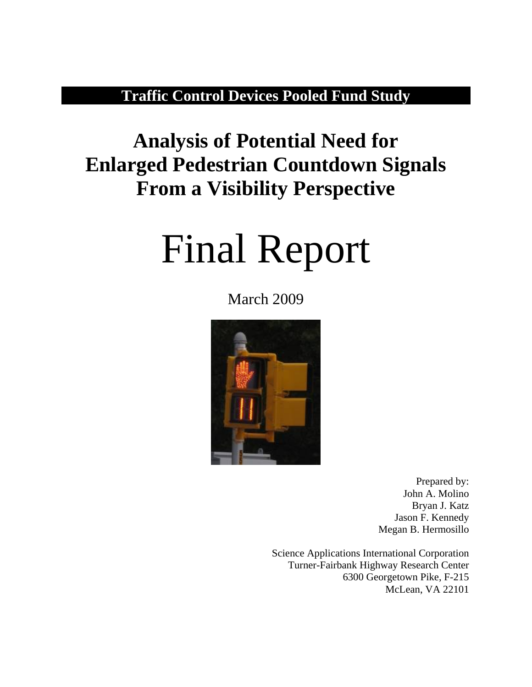# **Traffic Control Devices Pooled Fund Study**

# **Analysis of Potential Need for Enlarged Pedestrian Countdown Signals From a Visibility Perspective**

# Final Report

# March 2009



Prepared by: John A. Molino Bryan J. Katz Jason F. Kennedy Megan B. Hermosillo

Science Applications International Corporation Turner-Fairbank Highway Research Center 6300 Georgetown Pike, F-215 McLean, VA 22101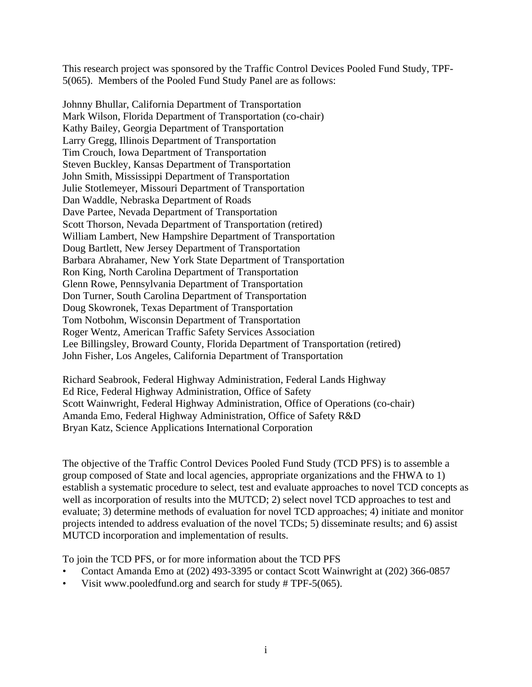This research project was sponsored by the Traffic Control Devices Pooled Fund Study, TPF-5(065). Members of the Pooled Fund Study Panel are as follows:

Johnny Bhullar, California Department of Transportation Mark Wilson, Florida Department of Transportation (co-chair) Kathy Bailey, Georgia Department of Transportation Larry Gregg, Illinois Department of Transportation Tim Crouch, Iowa Department of Transportation Steven Buckley, Kansas Department of Transportation John Smith, Mississippi Department of Transportation Julie Stotlemeyer, Missouri Department of Transportation Dan Waddle, Nebraska Department of Roads Dave Partee, Nevada Department of Transportation Scott Thorson, Nevada Department of Transportation (retired) William Lambert, New Hampshire Department of Transportation Doug Bartlett, New Jersey Department of Transportation Barbara Abrahamer, New York State Department of Transportation Ron King, North Carolina Department of Transportation Glenn Rowe, Pennsylvania Department of Transportation Don Turner, South Carolina Department of Transportation Doug Skowronek, Texas Department of Transportation Tom Notbohm, Wisconsin Department of Transportation Roger Wentz, American Traffic Safety Services Association Lee Billingsley, Broward County, Florida Department of Transportation (retired) John Fisher, Los Angeles, California Department of Transportation

Richard Seabrook, Federal Highway Administration, Federal Lands Highway Ed Rice, Federal Highway Administration, Office of Safety Scott Wainwright, Federal Highway Administration, Office of Operations (co-chair) Amanda Emo, Federal Highway Administration, Office of Safety R&D Bryan Katz, Science Applications International Corporation

The objective of the Traffic Control Devices Pooled Fund Study (TCD PFS) is to assemble a group composed of State and local agencies, appropriate organizations and the FHWA to 1) establish a systematic procedure to select, test and evaluate approaches to novel TCD concepts as well as incorporation of results into the MUTCD; 2) select novel TCD approaches to test and evaluate; 3) determine methods of evaluation for novel TCD approaches; 4) initiate and monitor projects intended to address evaluation of the novel TCDs; 5) disseminate results; and 6) assist MUTCD incorporation and implementation of results.

To join the TCD PFS, or for more information about the TCD PFS

- Contact Amanda Emo at (202) 493-3395 or contact Scott Wainwright at (202) 366-0857
- Visit www.pooledfund.org and search for study # TPF-5(065).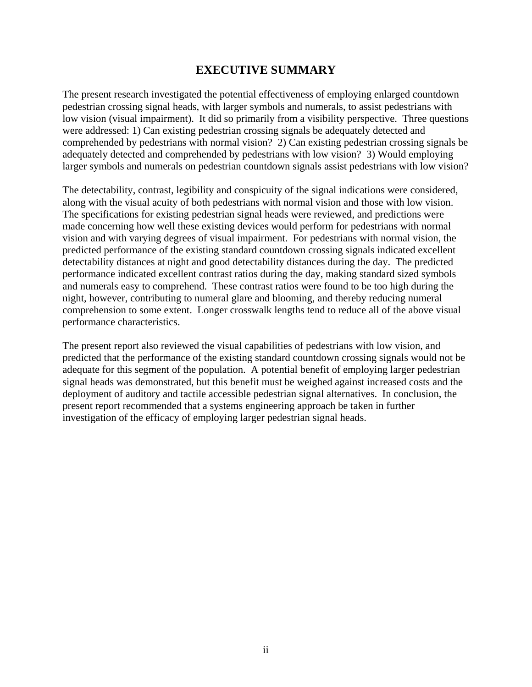# **EXECUTIVE SUMMARY**

<span id="page-2-0"></span>The present research investigated the potential effectiveness of employing enlarged countdown pedestrian crossing signal heads, with larger symbols and numerals, to assist pedestrians with low vision (visual impairment). It did so primarily from a visibility perspective. Three questions were addressed: 1) Can existing pedestrian crossing signals be adequately detected and comprehended by pedestrians with normal vision? 2) Can existing pedestrian crossing signals be adequately detected and comprehended by pedestrians with low vision? 3) Would employing larger symbols and numerals on pedestrian countdown signals assist pedestrians with low vision?

The detectability, contrast, legibility and conspicuity of the signal indications were considered, along with the visual acuity of both pedestrians with normal vision and those with low vision. The specifications for existing pedestrian signal heads were reviewed, and predictions were made concerning how well these existing devices would perform for pedestrians with normal vision and with varying degrees of visual impairment. For pedestrians with normal vision, the predicted performance of the existing standard countdown crossing signals indicated excellent detectability distances at night and good detectability distances during the day. The predicted performance indicated excellent contrast ratios during the day, making standard sized symbols and numerals easy to comprehend. These contrast ratios were found to be too high during the night, however, contributing to numeral glare and blooming, and thereby reducing numeral comprehension to some extent. Longer crosswalk lengths tend to reduce all of the above visual performance characteristics.

The present report also reviewed the visual capabilities of pedestrians with low vision, and predicted that the performance of the existing standard countdown crossing signals would not be adequate for this segment of the population. A potential benefit of employing larger pedestrian signal heads was demonstrated, but this benefit must be weighed against increased costs and the deployment of auditory and tactile accessible pedestrian signal alternatives. In conclusion, the present report recommended that a systems engineering approach be taken in further investigation of the efficacy of employing larger pedestrian signal heads.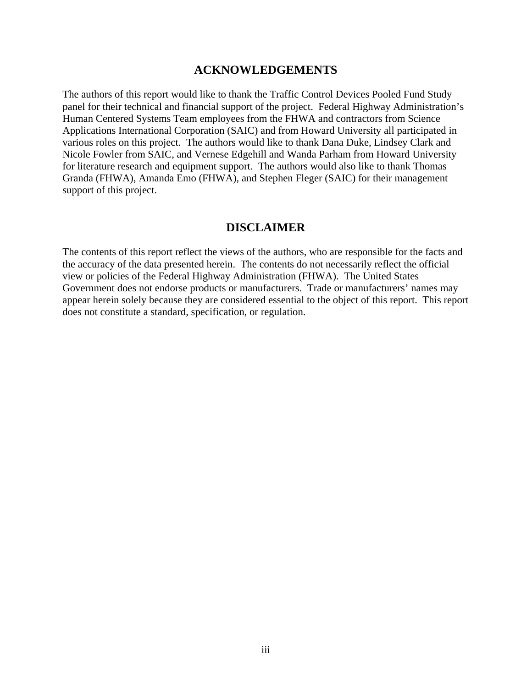#### **ACKNOWLEDGEMENTS**

<span id="page-3-0"></span>The authors of this report would like to thank the Traffic Control Devices Pooled Fund Study panel for their technical and financial support of the project. Federal Highway Administration's Human Centered Systems Team employees from the FHWA and contractors from Science Applications International Corporation (SAIC) and from Howard University all participated in various roles on this project. The authors would like to thank Dana Duke, Lindsey Clark and Nicole Fowler from SAIC, and Vernese Edgehill and Wanda Parham from Howard University for literature research and equipment support. The authors would also like to thank Thomas Granda (FHWA), Amanda Emo (FHWA), and Stephen Fleger (SAIC) for their management support of this project.

#### **DISCLAIMER**

The contents of this report reflect the views of the authors, who are responsible for the facts and the accuracy of the data presented herein. The contents do not necessarily reflect the official view or policies of the Federal Highway Administration (FHWA). The United States Government does not endorse products or manufacturers. Trade or manufacturers' names may appear herein solely because they are considered essential to the object of this report. This report does not constitute a standard, specification, or regulation.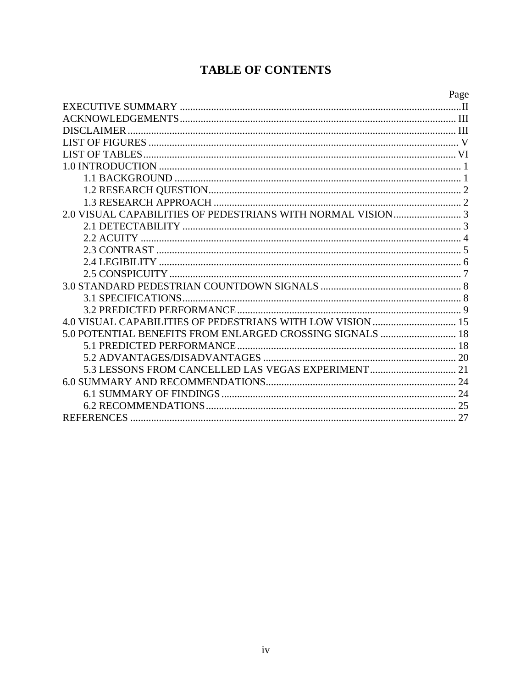# **TABLE OF CONTENTS**

|                                                            | Page |
|------------------------------------------------------------|------|
|                                                            |      |
|                                                            |      |
| <b>DISCLAIMER</b>                                          |      |
|                                                            |      |
|                                                            |      |
|                                                            |      |
|                                                            |      |
|                                                            |      |
|                                                            |      |
|                                                            |      |
|                                                            |      |
|                                                            |      |
|                                                            |      |
|                                                            |      |
|                                                            |      |
|                                                            |      |
|                                                            |      |
|                                                            |      |
| 4.0 VISUAL CAPABILITIES OF PEDESTRIANS WITH LOW VISION  15 |      |
|                                                            |      |
|                                                            |      |
|                                                            |      |
|                                                            |      |
|                                                            |      |
|                                                            |      |
|                                                            |      |
| <b>REFERENCES</b>                                          |      |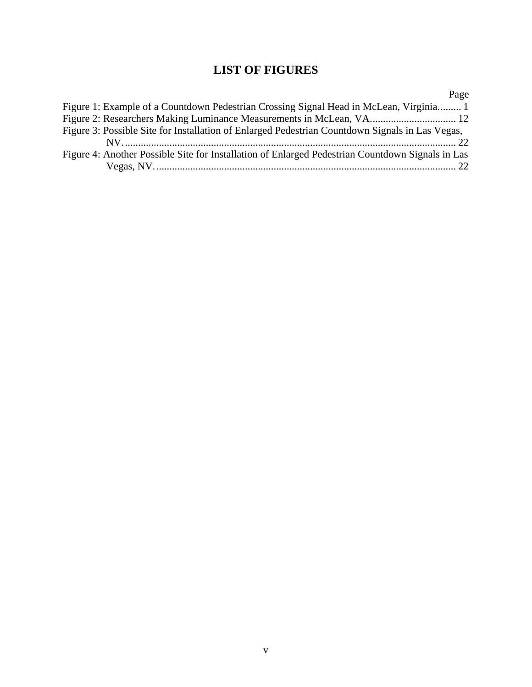# **LIST OF FIGURES**

<span id="page-5-0"></span>

|                                                                                                  | Page |
|--------------------------------------------------------------------------------------------------|------|
| Figure 1: Example of a Countdown Pedestrian Crossing Signal Head in McLean, Virginia 1           |      |
|                                                                                                  |      |
| Figure 3: Possible Site for Installation of Enlarged Pedestrian Countdown Signals in Las Vegas,  |      |
|                                                                                                  |      |
| Figure 4: Another Possible Site for Installation of Enlarged Pedestrian Countdown Signals in Las |      |
|                                                                                                  |      |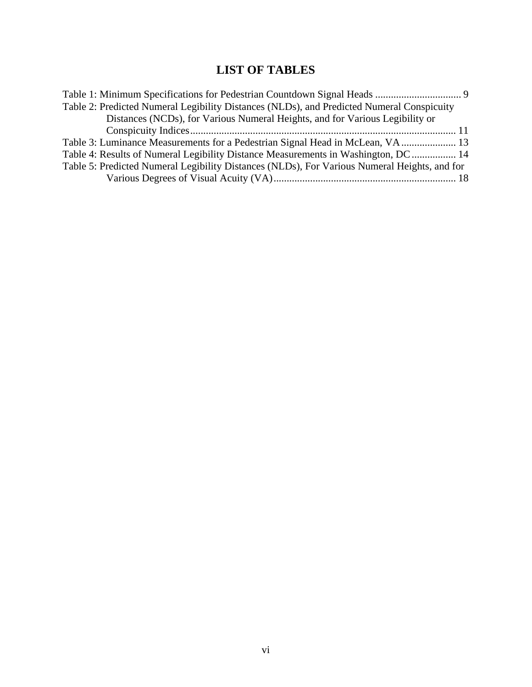# **LIST OF TABLES**

<span id="page-6-0"></span>

| Table 2: Predicted Numeral Legibility Distances (NLDs), and Predicted Numeral Conspicuity    |  |
|----------------------------------------------------------------------------------------------|--|
| Distances (NCDs), for Various Numeral Heights, and for Various Legibility or                 |  |
|                                                                                              |  |
| Table 3: Luminance Measurements for a Pedestrian Signal Head in McLean, VA 13                |  |
| Table 4: Results of Numeral Legibility Distance Measurements in Washington, DC 14            |  |
| Table 5: Predicted Numeral Legibility Distances (NLDs), For Various Numeral Heights, and for |  |
|                                                                                              |  |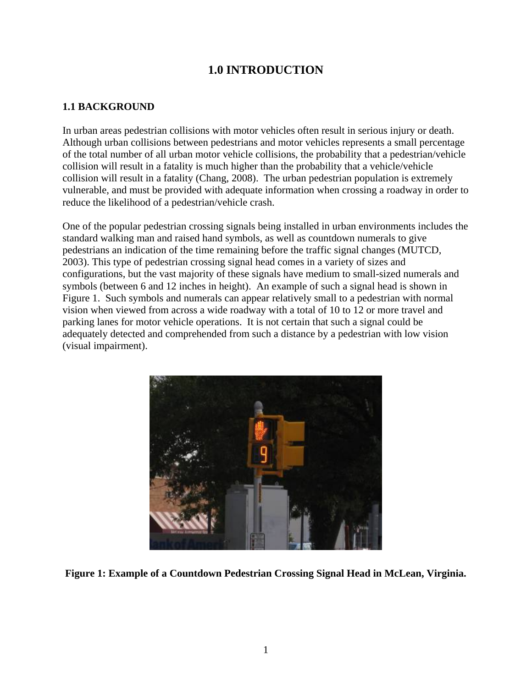# **1.0 INTRODUCTION**

#### <span id="page-7-0"></span>**1.1 BACKGROUND**

In urban areas pedestrian collisions with motor vehicles often result in serious injury or death. Although urban collisions between pedestrians and motor vehicles represents a small percentage of the total number of all urban motor vehicle collisions, the probability that a pedestrian/vehicle collision will result in a fatality is much higher than the probability that a vehicle/vehicle collision will result in a fatality (Chang, 2008). The urban pedestrian population is extremely vulnerable, and must be provided with adequate information when crossing a roadway in order to reduce the likelihood of a pedestrian/vehicle crash.

One of the popular pedestrian crossing signals being installed in urban environments includes the standard walking man and raised hand symbols, as well as countdown numerals to give pedestrians an indication of the time remaining before the traffic signal changes (MUTCD, 2003). This type of pedestrian crossing signal head comes in a variety of sizes and configurations, but the vast majority of these signals have medium to small-sized numerals and symbols (between 6 and 12 inches in height). An example of such a signal head is shown in Figure 1. Such symbols and numerals can appear relatively small to a pedestrian with normal vision when viewed from across a wide roadway with a total of 10 to 12 or more travel and parking lanes for motor vehicle operations. It is not certain that such a signal could be adequately detected and comprehended from such a distance by a pedestrian with low vision (visual impairment).



**Figure 1: Example of a Countdown Pedestrian Crossing Signal Head in McLean, Virginia.**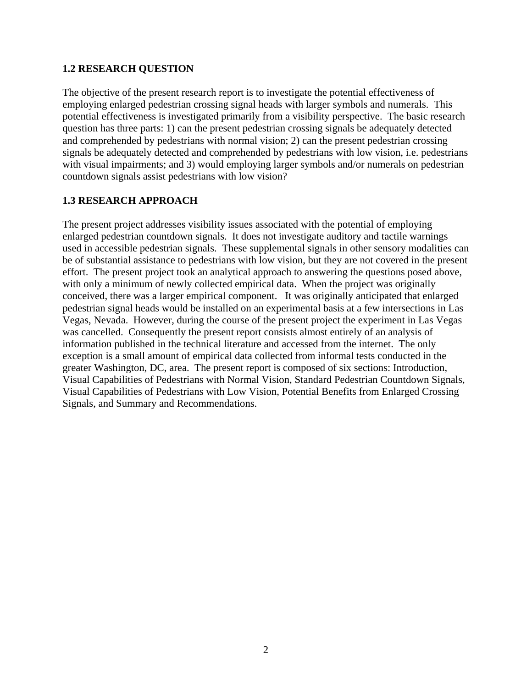#### <span id="page-8-0"></span>**1.2 RESEARCH QUESTION**

The objective of the present research report is to investigate the potential effectiveness of employing enlarged pedestrian crossing signal heads with larger symbols and numerals. This potential effectiveness is investigated primarily from a visibility perspective. The basic research question has three parts: 1) can the present pedestrian crossing signals be adequately detected and comprehended by pedestrians with normal vision; 2) can the present pedestrian crossing signals be adequately detected and comprehended by pedestrians with low vision, i.e. pedestrians with visual impairments; and 3) would employing larger symbols and/or numerals on pedestrian countdown signals assist pedestrians with low vision?

# **1.3 RESEARCH APPROACH**

The present project addresses visibility issues associated with the potential of employing enlarged pedestrian countdown signals. It does not investigate auditory and tactile warnings used in accessible pedestrian signals. These supplemental signals in other sensory modalities can be of substantial assistance to pedestrians with low vision, but they are not covered in the present effort. The present project took an analytical approach to answering the questions posed above, with only a minimum of newly collected empirical data. When the project was originally conceived, there was a larger empirical component. It was originally anticipated that enlarged pedestrian signal heads would be installed on an experimental basis at a few intersections in Las Vegas, Nevada. However, during the course of the present project the experiment in Las Vegas was cancelled. Consequently the present report consists almost entirely of an analysis of information published in the technical literature and accessed from the internet. The only exception is a small amount of empirical data collected from informal tests conducted in the greater Washington, DC, area. The present report is composed of six sections: Introduction, Visual Capabilities of Pedestrians with Normal Vision, Standard Pedestrian Countdown Signals, Visual Capabilities of Pedestrians with Low Vision, Potential Benefits from Enlarged Crossing Signals, and Summary and Recommendations.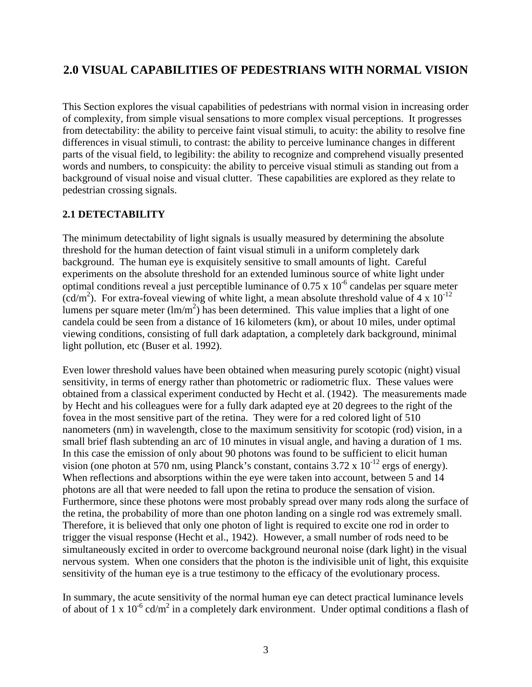# <span id="page-9-0"></span>**2.0 VISUAL CAPABILITIES OF PEDESTRIANS WITH NORMAL VISION**

This Section explores the visual capabilities of pedestrians with normal vision in increasing order of complexity, from simple visual sensations to more complex visual perceptions. It progresses from detectability: the ability to perceive faint visual stimuli, to acuity: the ability to resolve fine differences in visual stimuli, to contrast: the ability to perceive luminance changes in different parts of the visual field, to legibility: the ability to recognize and comprehend visually presented words and numbers, to conspicuity: the ability to perceive visual stimuli as standing out from a background of visual noise and visual clutter. These capabilities are explored as they relate to pedestrian crossing signals.

#### **2.1 DETECTABILITY**

The minimum detectability of light signals is usually measured by determining the absolute threshold for the human detection of faint visual stimuli in a uniform completely dark background. The human eye is exquisitely sensitive to small amounts of light. Careful experiments on the absolute threshold for an extended luminous source of white light under optimal conditions reveal a just perceptible luminance of  $0.75 \times 10^{-6}$  candelas per square meter  $(cd/m<sup>2</sup>)$ . For extra-foveal viewing of white light, a mean absolute threshold value of 4 x 10<sup>-12</sup> lumens per square meter  $(\text{Im/m}^2)$  has been determined. This value implies that a light of one candela could be seen from a distance of 16 kilometers (km), or about 10 miles, under optimal viewing conditions, consisting of full dark adaptation, a completely dark background, minimal light pollution, etc (Buser et al. 1992).

Even lower threshold values have been obtained when measuring purely scotopic (night) visual sensitivity, in terms of energy rather than photometric or radiometric flux. These values were obtained from a classical experiment conducted by Hecht et al. (1942). The measurements made by Hecht and his colleagues were for a fully dark adapted eye at 20 degrees to the right of the fovea in the most sensitive part of the retina. They were for a red colored light of 510 nanometers (nm) in wavelength, close to the maximum sensitivity for scotopic (rod) vision, in a small brief flash subtending an arc of 10 minutes in visual angle, and having a duration of 1 ms. In this case the emission of only about 90 photons was found to be sufficient to elicit human vision (one photon at 570 nm, using Planck's constant, contains  $3.72 \times 10^{-12}$  ergs of energy). When reflections and absorptions within the eye were taken into account, between 5 and 14 photons are all that were needed to fall upon the retina to produce the sensation of vision. Furthermore, since these photons were most probably spread over many rods along the surface of the retina, the probability of more than one photon landing on a single rod was extremely small. Therefore, it is believed that only one photon of light is required to excite one rod in order to trigger the visual response (Hecht et al., 1942). However, a small number of rods need to be simultaneously excited in order to overcome background neuronal noise (dark light) in the visual nervous system. When one considers that the photon is the indivisible unit of light, this exquisite sensitivity of the human eye is a true testimony to the efficacy of the evolutionary process.

In summary, the acute sensitivity of the normal human eye can detect practical luminance levels of about of 1 x  $10^{-6}$  cd/m<sup>2</sup> in a completely dark environment. Under optimal conditions a flash of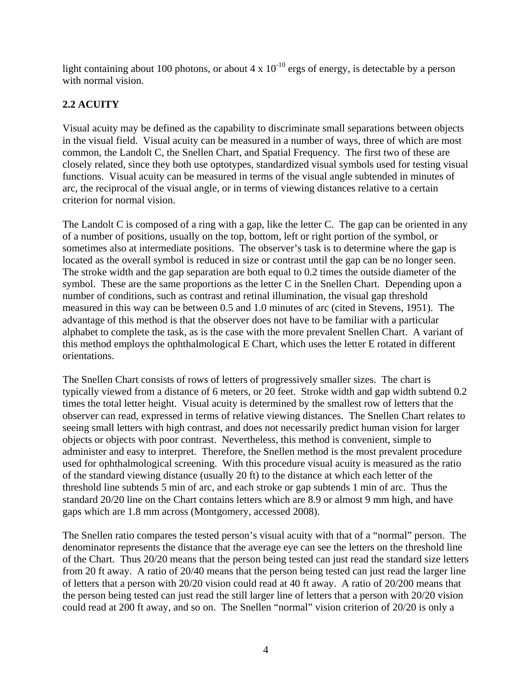<span id="page-10-0"></span>light containing about 100 photons, or about 4 x  $10^{-10}$  ergs of energy, is detectable by a person with normal vision.

# **2.2 ACUITY**

Visual acuity may be defined as the capability to discriminate small separations between objects in the visual field. Visual acuity can be measured in a number of ways, three of which are most common, the Landolt C, the Snellen Chart, and Spatial Frequency. The first two of these are closely related, since they both use optotypes, standardized visual symbols used for testing visual functions. Visual acuity can be measured in terms of the visual angle subtended in minutes of arc, the reciprocal of the visual angle, or in terms of viewing distances relative to a certain criterion for normal vision.

The Landolt C is composed of a ring with a gap, like the letter C. The gap can be oriented in any of a number of positions, usually on the top, bottom, left or right portion of the symbol, or sometimes also at intermediate positions. The observer's task is to determine where the gap is located as the overall symbol is reduced in size or contrast until the gap can be no longer seen. The stroke width and the gap separation are both equal to 0.2 times the outside diameter of the symbol. These are the same proportions as the letter C in the Snellen Chart. Depending upon a number of conditions, such as contrast and retinal illumination, the visual gap threshold measured in this way can be between 0.5 and 1.0 minutes of arc (cited in Stevens, 1951). The advantage of this method is that the observer does not have to be familiar with a particular alphabet to complete the task, as is the case with the more prevalent Snellen Chart. A variant of this method employs the ophthalmological E Chart, which uses the letter E rotated in different orientations.

The Snellen Chart consists of rows of letters of progressively smaller sizes. The chart is typically viewed from a distance of 6 meters, or 20 feet. Stroke width and gap width subtend 0.2 times the total letter height. Visual acuity is determined by the smallest row of letters that the observer can read, expressed in terms of relative viewing distances. The Snellen Chart relates to seeing small letters with high contrast, and does not necessarily predict human vision for larger objects or objects with poor contrast. Nevertheless, this method is convenient, simple to administer and easy to interpret. Therefore, the Snellen method is the most prevalent procedure used for ophthalmological screening. With this procedure visual acuity is measured as the ratio of the standard viewing distance (usually 20 ft) to the distance at which each letter of the threshold line subtends 5 min of arc, and each stroke or gap subtends 1 min of arc. Thus the standard 20/20 line on the Chart contains letters which are 8.9 or almost 9 mm high, and have gaps which are 1.8 mm across (Montgomery, accessed 2008).

The Snellen ratio compares the tested person's visual acuity with that of a "normal" person. The denominator represents the distance that the average eye can see the letters on the threshold line of the Chart. Thus 20/20 means that the person being tested can just read the standard size letters from 20 ft away. A ratio of 20/40 means that the person being tested can just read the larger line of letters that a person with 20/20 vision could read at 40 ft away. A ratio of 20/200 means that the person being tested can just read the still larger line of letters that a person with 20/20 vision could read at 200 ft away, and so on. The Snellen "normal" vision criterion of 20/20 is only a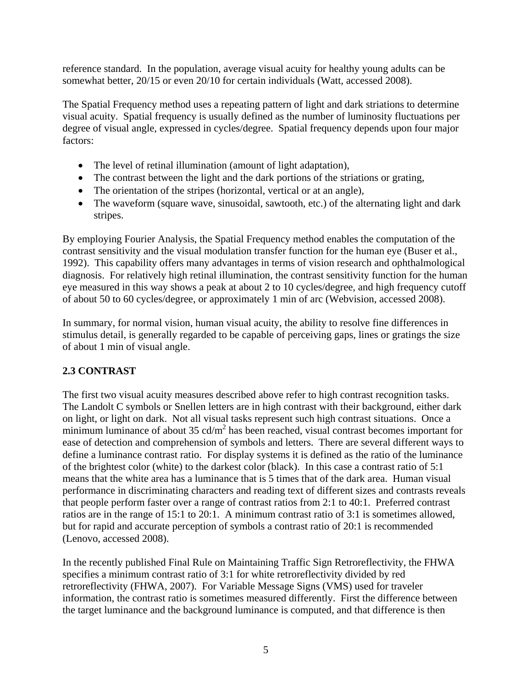<span id="page-11-0"></span>reference standard. In the population, average visual acuity for healthy young adults can be somewhat better, 20/15 or even 20/10 for certain individuals (Watt, accessed 2008).

The Spatial Frequency method uses a repeating pattern of light and dark striations to determine visual acuity. Spatial frequency is usually defined as the number of luminosity fluctuations per degree of visual angle, expressed in cycles/degree. Spatial frequency depends upon four major factors:

- The level of retinal illumination (amount of light adaptation),
- The contrast between the light and the dark portions of the striations or grating,
- The orientation of the stripes (horizontal, vertical or at an angle),
- The waveform (square wave, sinusoidal, sawtooth, etc.) of the alternating light and dark stripes.

By employing Fourier Analysis, the Spatial Frequency method enables the computation of the contrast sensitivity and the visual modulation transfer function for the human eye (Buser et al., 1992). This capability offers many advantages in terms of vision research and ophthalmological diagnosis. For relatively high retinal illumination, the contrast sensitivity function for the human eye measured in this way shows a peak at about 2 to 10 cycles/degree, and high frequency cutoff of about 50 to 60 cycles/degree, or approximately 1 min of arc (Webvision, accessed 2008).

In summary, for normal vision, human visual acuity, the ability to resolve fine differences in stimulus detail, is generally regarded to be capable of perceiving gaps, lines or gratings the size of about 1 min of visual angle.

# **2.3 CONTRAST**

The first two visual acuity measures described above refer to high contrast recognition tasks. The Landolt C symbols or Snellen letters are in high contrast with their background, either dark on light, or light on dark. Not all visual tasks represent such high contrast situations. Once a minimum luminance of about  $35 \text{ cd/m}^2$  has been reached, visual contrast becomes important for ease of detection and comprehension of symbols and letters. There are several different ways to define a luminance contrast ratio. For display systems it is defined as the ratio of the luminance of the brightest color (white) to the darkest color (black). In this case a contrast ratio of 5:1 means that the white area has a luminance that is 5 times that of the dark area. Human visual performance in discriminating characters and reading text of different sizes and contrasts reveals that people perform faster over a range of contrast ratios from 2:1 to 40:1. Preferred contrast ratios are in the range of 15:1 to 20:1. A minimum contrast ratio of 3:1 is sometimes allowed, but for rapid and accurate perception of symbols a contrast ratio of 20:1 is recommended (Lenovo, accessed 2008).

In the recently published Final Rule on Maintaining Traffic Sign Retroreflectivity, the FHWA specifies a minimum contrast ratio of 3:1 for white retroreflectivity divided by red retroreflectivity (FHWA, 2007). For Variable Message Signs (VMS) used for traveler information, the contrast ratio is sometimes measured differently. First the difference between the target luminance and the background luminance is computed, and that difference is then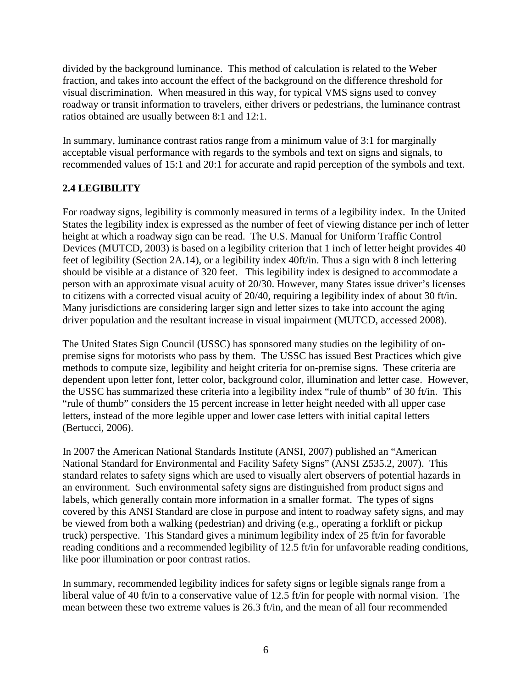<span id="page-12-0"></span>divided by the background luminance. This method of calculation is related to the Weber fraction, and takes into account the effect of the background on the difference threshold for visual discrimination. When measured in this way, for typical VMS signs used to convey roadway or transit information to travelers, either drivers or pedestrians, the luminance contrast ratios obtained are usually between 8:1 and 12:1.

In summary, luminance contrast ratios range from a minimum value of 3:1 for marginally acceptable visual performance with regards to the symbols and text on signs and signals, to recommended values of 15:1 and 20:1 for accurate and rapid perception of the symbols and text.

# **2.4 LEGIBILITY**

For roadway signs, legibility is commonly measured in terms of a legibility index. In the United States the legibility index is expressed as the number of feet of viewing distance per inch of letter height at which a roadway sign can be read. The U.S. Manual for Uniform Traffic Control Devices (MUTCD, 2003) is based on a legibility criterion that 1 inch of letter height provides 40 feet of legibility (Section 2A.14), or a legibility index 40ft/in. Thus a sign with 8 inch lettering should be visible at a distance of 320 feet. This legibility index is designed to accommodate a person with an approximate visual acuity of 20/30. However, many States issue driver's licenses to citizens with a corrected visual acuity of 20/40, requiring a legibility index of about 30 ft/in. Many jurisdictions are considering larger sign and letter sizes to take into account the aging driver population and the resultant increase in visual impairment (MUTCD, accessed 2008).

The United States Sign Council (USSC) has sponsored many studies on the legibility of onpremise signs for motorists who pass by them. The USSC has issued Best Practices which give methods to compute size, legibility and height criteria for on-premise signs. These criteria are dependent upon letter font, letter color, background color, illumination and letter case. However, the USSC has summarized these criteria into a legibility index "rule of thumb" of 30 ft/in. This "rule of thumb" considers the 15 percent increase in letter height needed with all upper case letters, instead of the more legible upper and lower case letters with initial capital letters (Bertucci, 2006).

In 2007 the American National Standards Institute (ANSI, 2007) published an "American National Standard for Environmental and Facility Safety Signs" (ANSI Z535.2, 2007). This standard relates to safety signs which are used to visually alert observers of potential hazards in an environment. Such environmental safety signs are distinguished from product signs and labels, which generally contain more information in a smaller format. The types of signs covered by this ANSI Standard are close in purpose and intent to roadway safety signs, and may be viewed from both a walking (pedestrian) and driving (e.g., operating a forklift or pickup truck) perspective. This Standard gives a minimum legibility index of 25 ft/in for favorable reading conditions and a recommended legibility of 12.5 ft/in for unfavorable reading conditions, like poor illumination or poor contrast ratios.

In summary, recommended legibility indices for safety signs or legible signals range from a liberal value of 40 ft/in to a conservative value of 12.5 ft/in for people with normal vision. The mean between these two extreme values is 26.3 ft/in, and the mean of all four recommended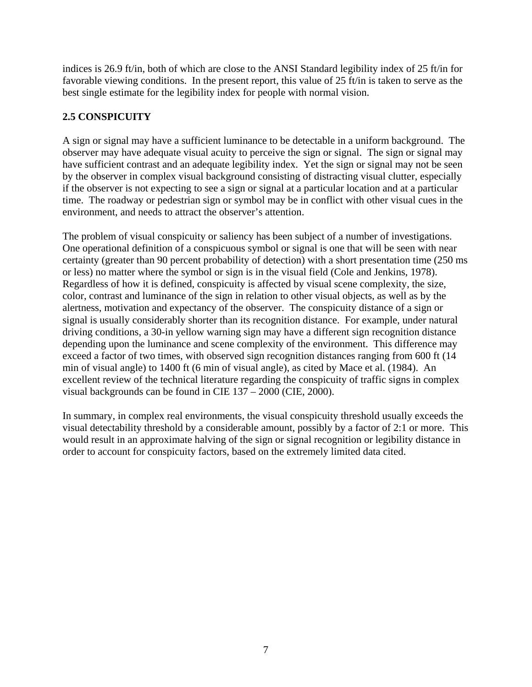<span id="page-13-0"></span>indices is 26.9 ft/in, both of which are close to the ANSI Standard legibility index of 25 ft/in for favorable viewing conditions. In the present report, this value of 25 ft/in is taken to serve as the best single estimate for the legibility index for people with normal vision.

# **2.5 CONSPICUITY**

A sign or signal may have a sufficient luminance to be detectable in a uniform background. The observer may have adequate visual acuity to perceive the sign or signal. The sign or signal may have sufficient contrast and an adequate legibility index. Yet the sign or signal may not be seen by the observer in complex visual background consisting of distracting visual clutter, especially if the observer is not expecting to see a sign or signal at a particular location and at a particular time. The roadway or pedestrian sign or symbol may be in conflict with other visual cues in the environment, and needs to attract the observer's attention.

The problem of visual conspicuity or saliency has been subject of a number of investigations. One operational definition of a conspicuous symbol or signal is one that will be seen with near certainty (greater than 90 percent probability of detection) with a short presentation time (250 ms or less) no matter where the symbol or sign is in the visual field (Cole and Jenkins, 1978). Regardless of how it is defined, conspicuity is affected by visual scene complexity, the size, color, contrast and luminance of the sign in relation to other visual objects, as well as by the alertness, motivation and expectancy of the observer. The conspicuity distance of a sign or signal is usually considerably shorter than its recognition distance. For example, under natural driving conditions, a 30-in yellow warning sign may have a different sign recognition distance depending upon the luminance and scene complexity of the environment. This difference may exceed a factor of two times, with observed sign recognition distances ranging from 600 ft (14 min of visual angle) to 1400 ft (6 min of visual angle), as cited by Mace et al. (1984). An excellent review of the technical literature regarding the conspicuity of traffic signs in complex visual backgrounds can be found in CIE 137 – 2000 (CIE, 2000).

In summary, in complex real environments, the visual conspicuity threshold usually exceeds the visual detectability threshold by a considerable amount, possibly by a factor of 2:1 or more. This would result in an approximate halving of the sign or signal recognition or legibility distance in order to account for conspicuity factors, based on the extremely limited data cited.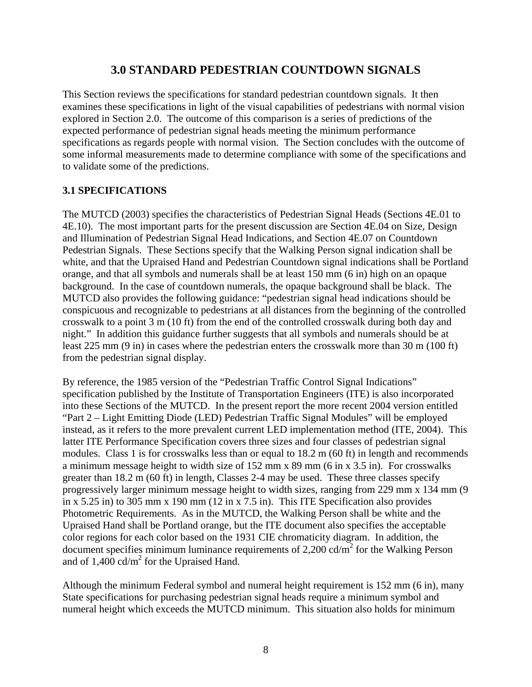# **3.0 STANDARD PEDESTRIAN COUNTDOWN SIGNALS**

<span id="page-14-0"></span>This Section reviews the specifications for standard pedestrian countdown signals. It then examines these specifications in light of the visual capabilities of pedestrians with normal vision explored in Section 2.0. The outcome of this comparison is a series of predictions of the expected performance of pedestrian signal heads meeting the minimum performance specifications as regards people with normal vision. The Section concludes with the outcome of some informal measurements made to determine compliance with some of the specifications and to validate some of the predictions.

# **3.1 SPECIFICATIONS**

The MUTCD (2003) specifies the characteristics of Pedestrian Signal Heads (Sections 4E.01 to 4E.10). The most important parts for the present discussion are Section 4E.04 on Size, Design and Illumination of Pedestrian Signal Head Indications, and Section 4E.07 on Countdown Pedestrian Signals. These Sections specify that the Walking Person signal indication shall be white, and that the Upraised Hand and Pedestrian Countdown signal indications shall be Portland orange, and that all symbols and numerals shall be at least 150 mm (6 in) high on an opaque background. In the case of countdown numerals, the opaque background shall be black. The MUTCD also provides the following guidance: "pedestrian signal head indications should be conspicuous and recognizable to pedestrians at all distances from the beginning of the controlled crosswalk to a point 3 m (10 ft) from the end of the controlled crosswalk during both day and night." In addition this guidance further suggests that all symbols and numerals should be at least 225 mm (9 in) in cases where the pedestrian enters the crosswalk more than 30 m (100 ft) from the pedestrian signal display.

By reference, the 1985 version of the "Pedestrian Traffic Control Signal Indications" specification published by the Institute of Transportation Engineers (ITE) is also incorporated into these Sections of the MUTCD. In the present report the more recent 2004 version entitled "Part 2 – Light Emitting Diode (LED) Pedestrian Traffic Signal Modules" will be employed instead, as it refers to the more prevalent current LED implementation method (ITE, 2004). This latter ITE Performance Specification covers three sizes and four classes of pedestrian signal modules. Class 1 is for crosswalks less than or equal to 18.2 m (60 ft) in length and recommends a minimum message height to width size of 152 mm x 89 mm (6 in x 3.5 in). For crosswalks greater than 18.2 m (60 ft) in length, Classes 2-4 may be used. These three classes specify progressively larger minimum message height to width sizes, ranging from 229 mm x 134 mm (9 in x 5.25 in) to 305 mm x 190 mm (12 in x 7.5 in). This ITE Specification also provides Photometric Requirements. As in the MUTCD, the Walking Person shall be white and the Upraised Hand shall be Portland orange, but the ITE document also specifies the acceptable color regions for each color based on the 1931 CIE chromaticity diagram. In addition, the document specifies minimum luminance requirements of  $2,200 \text{ cd/m}^2$  for the Walking Person and of  $1,400 \text{ cd/m}^2$  for the Upraised Hand.

Although the minimum Federal symbol and numeral height requirement is 152 mm (6 in), many State specifications for purchasing pedestrian signal heads require a minimum symbol and numeral height which exceeds the MUTCD minimum. This situation also holds for minimum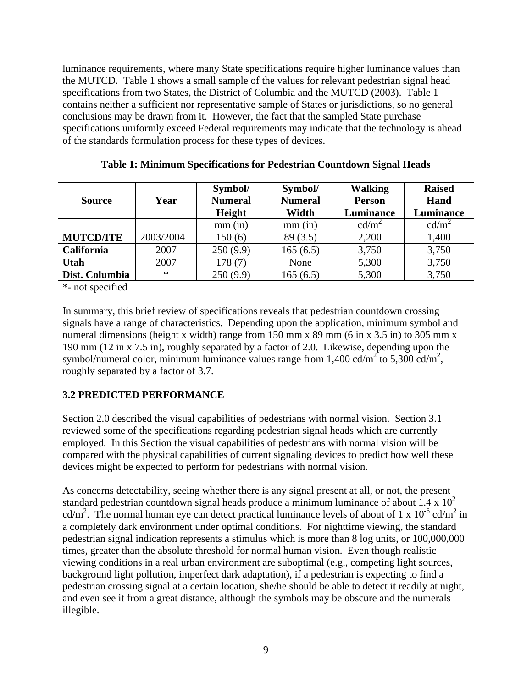<span id="page-15-0"></span>luminance requirements, where many State specifications require higher luminance values than the MUTCD. Table 1 shows a small sample of the values for relevant pedestrian signal head specifications from two States, the District of Columbia and the MUTCD (2003). Table 1 contains neither a sufficient nor representative sample of States or jurisdictions, so no general conclusions may be drawn from it. However, the fact that the sampled State purchase specifications uniformly exceed Federal requirements may indicate that the technology is ahead of the standards formulation process for these types of devices.

| <b>Source</b>     | Year      | Symbol/<br><b>Numeral</b><br>Height | Symbol/<br><b>Numeral</b><br>Width | <b>Walking</b><br><b>Person</b><br>Luminance | <b>Raised</b><br>Hand<br>Luminance |
|-------------------|-----------|-------------------------------------|------------------------------------|----------------------------------------------|------------------------------------|
|                   |           | $mm$ (in)                           | $mm$ (in)                          | cd/m <sup>2</sup>                            | cd/m <sup>2</sup>                  |
| <b>MUTCD/ITE</b>  | 2003/2004 | 150(6)                              | 89(3.5)                            | 2,200                                        | 1,400                              |
| <b>California</b> | 2007      | 250(9.9)                            | 165(6.5)                           | 3,750                                        | 3,750                              |
| <b>Utah</b>       | 2007      | 178(7)                              | None                               | 5,300                                        | 3,750                              |
| Dist. Columbia    | $\ast$    | 250(9.9)                            | 165(6.5)                           | 5,300                                        | 3,750                              |

**Table 1: Minimum Specifications for Pedestrian Countdown Signal Heads** 

\*- not specified

In summary, this brief review of specifications reveals that pedestrian countdown crossing signals have a range of characteristics. Depending upon the application, minimum symbol and numeral dimensions (height x width) range from 150 mm x 89 mm (6 in x 3.5 in) to 305 mm x 190 mm (12 in x 7.5 in), roughly separated by a factor of 2.0. Likewise, depending upon the symbol/numeral color, minimum luminance values range from 1,400 cd/m<sup>2</sup> to 5,300 cd/m<sup>2</sup>, roughly separated by a factor of 3.7.

# **3.2 PREDICTED PERFORMANCE**

Section 2.0 described the visual capabilities of pedestrians with normal vision. Section 3.1 reviewed some of the specifications regarding pedestrian signal heads which are currently employed. In this Section the visual capabilities of pedestrians with normal vision will be compared with the physical capabilities of current signaling devices to predict how well these devices might be expected to perform for pedestrians with normal vision.

As concerns detectability, seeing whether there is any signal present at all, or not, the present standard pedestrian countdown signal heads produce a minimum luminance of about  $1.4 \times 10^2$ cd/m<sup>2</sup>. The normal human eye can detect practical luminance levels of about of 1 x  $10^{-6}$  cd/m<sup>2</sup> in a completely dark environment under optimal conditions. For nighttime viewing, the standard pedestrian signal indication represents a stimulus which is more than 8 log units, or 100,000,000 times, greater than the absolute threshold for normal human vision. Even though realistic viewing conditions in a real urban environment are suboptimal (e.g., competing light sources, background light pollution, imperfect dark adaptation), if a pedestrian is expecting to find a pedestrian crossing signal at a certain location, she/he should be able to detect it readily at night, and even see it from a great distance, although the symbols may be obscure and the numerals illegible.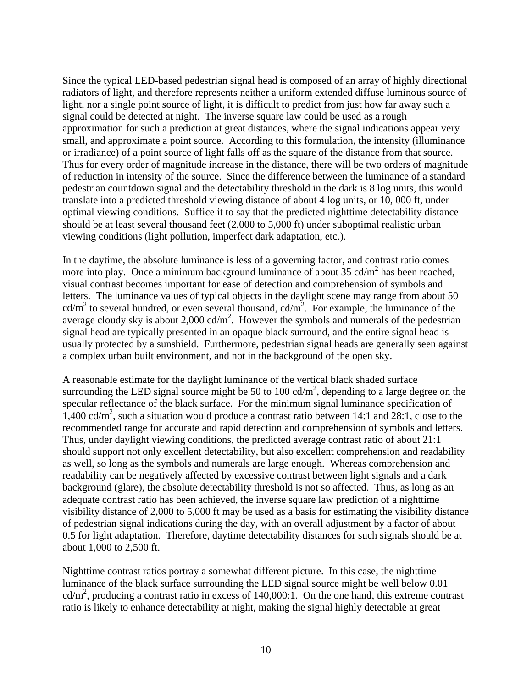Since the typical LED-based pedestrian signal head is composed of an array of highly directional radiators of light, and therefore represents neither a uniform extended diffuse luminous source of light, nor a single point source of light, it is difficult to predict from just how far away such a signal could be detected at night. The inverse square law could be used as a rough approximation for such a prediction at great distances, where the signal indications appear very small, and approximate a point source. According to this formulation, the intensity (illuminance or irradiance) of a point source of light falls off as the square of the distance from that source. Thus for every order of magnitude increase in the distance, there will be two orders of magnitude of reduction in intensity of the source. Since the difference between the luminance of a standard pedestrian countdown signal and the detectability threshold in the dark is 8 log units, this would translate into a predicted threshold viewing distance of about 4 log units, or 10, 000 ft, under optimal viewing conditions. Suffice it to say that the predicted nighttime detectability distance should be at least several thousand feet (2,000 to 5,000 ft) under suboptimal realistic urban viewing conditions (light pollution, imperfect dark adaptation, etc.).

In the daytime, the absolute luminance is less of a governing factor, and contrast ratio comes more into play. Once a minimum background luminance of about  $35 \text{ cd/m}^2$  has been reached, visual contrast becomes important for ease of detection and comprehension of symbols and letters. The luminance values of typical objects in the daylight scene may range from about 50  $cd/m<sup>2</sup>$  to several hundred, or even several thousand,  $cd/m<sup>2</sup>$ . For example, the luminance of the average cloudy sky is about 2,000 cd/ $m^2$ . However the symbols and numerals of the pedestrian signal head are typically presented in an opaque black surround, and the entire signal head is usually protected by a sunshield. Furthermore, pedestrian signal heads are generally seen against a complex urban built environment, and not in the background of the open sky.

A reasonable estimate for the daylight luminance of the vertical black shaded surface surrounding the LED signal source might be 50 to 100 cd/ $m^2$ , depending to a large degree on the specular reflectance of the black surface. For the minimum signal luminance specification of  $1,400 \text{ cd/m}^2$ , such a situation would produce a contrast ratio between 14:1 and 28:1, close to the recommended range for accurate and rapid detection and comprehension of symbols and letters. Thus, under daylight viewing conditions, the predicted average contrast ratio of about 21:1 should support not only excellent detectability, but also excellent comprehension and readability as well, so long as the symbols and numerals are large enough. Whereas comprehension and readability can be negatively affected by excessive contrast between light signals and a dark background (glare), the absolute detectability threshold is not so affected. Thus, as long as an adequate contrast ratio has been achieved, the inverse square law prediction of a nighttime visibility distance of 2,000 to 5,000 ft may be used as a basis for estimating the visibility distance of pedestrian signal indications during the day, with an overall adjustment by a factor of about 0.5 for light adaptation. Therefore, daytime detectability distances for such signals should be at about 1,000 to 2,500 ft.

Nighttime contrast ratios portray a somewhat different picture. In this case, the nighttime luminance of the black surface surrounding the LED signal source might be well below 0.01 cd/m2 , producing a contrast ratio in excess of 140,000:1. On the one hand, this extreme contrast ratio is likely to enhance detectability at night, making the signal highly detectable at great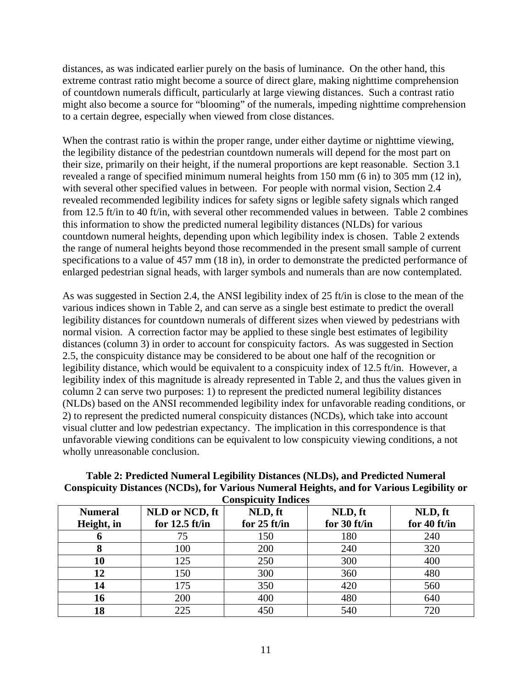<span id="page-17-0"></span>distances, as was indicated earlier purely on the basis of luminance. On the other hand, this extreme contrast ratio might become a source of direct glare, making nighttime comprehension of countdown numerals difficult, particularly at large viewing distances. Such a contrast ratio might also become a source for "blooming" of the numerals, impeding nighttime comprehension to a certain degree, especially when viewed from close distances.

When the contrast ratio is within the proper range, under either daytime or nighttime viewing, the legibility distance of the pedestrian countdown numerals will depend for the most part on their size, primarily on their height, if the numeral proportions are kept reasonable. Section 3.1 revealed a range of specified minimum numeral heights from 150 mm (6 in) to 305 mm (12 in), with several other specified values in between. For people with normal vision, Section 2.4 revealed recommended legibility indices for safety signs or legible safety signals which ranged from 12.5 ft/in to 40 ft/in, with several other recommended values in between. Table 2 combines this information to show the predicted numeral legibility distances (NLDs) for various countdown numeral heights, depending upon which legibility index is chosen. Table 2 extends the range of numeral heights beyond those recommended in the present small sample of current specifications to a value of 457 mm (18 in), in order to demonstrate the predicted performance of enlarged pedestrian signal heads, with larger symbols and numerals than are now contemplated.

As was suggested in Section 2.4, the ANSI legibility index of 25 ft/in is close to the mean of the various indices shown in Table 2, and can serve as a single best estimate to predict the overall legibility distances for countdown numerals of different sizes when viewed by pedestrians with normal vision. A correction factor may be applied to these single best estimates of legibility distances (column 3) in order to account for conspicuity factors. As was suggested in Section 2.5, the conspicuity distance may be considered to be about one half of the recognition or legibility distance, which would be equivalent to a conspicuity index of 12.5 ft/in. However, a legibility index of this magnitude is already represented in Table 2, and thus the values given in column 2 can serve two purposes: 1) to represent the predicted numeral legibility distances (NLDs) based on the ANSI recommended legibility index for unfavorable reading conditions, or 2) to represent the predicted numeral conspicuity distances (NCDs), which take into account visual clutter and low pedestrian expectancy. The implication in this correspondence is that unfavorable viewing conditions can be equivalent to low conspicuity viewing conditions, a not wholly unreasonable conclusion.

| <b>Conspicuity Indices</b> |                  |                |              |              |  |  |  |
|----------------------------|------------------|----------------|--------------|--------------|--|--|--|
| <b>Numeral</b>             | NLD or NCD, ft   | NLD, ft        | NLD, ft      | NLD, ft      |  |  |  |
| Height, in                 | for $12.5$ ft/in | for $25$ ft/in | for 30 ft/in | for 40 ft/in |  |  |  |
| o                          | 75               | 150            | 180          | 240          |  |  |  |
|                            | 100              | 200            | 240          | 320          |  |  |  |
| 10                         | 125              | 250            | 300          | 400          |  |  |  |
| 12                         | 150              | 300            | 360          | 480          |  |  |  |
| 14                         | 175              | 350            | 420          | 560          |  |  |  |
| 16                         | 200              | 400            | 480          | 640          |  |  |  |
| 18                         | 225              |                | 540          | 720          |  |  |  |

# **Table 2: Predicted Numeral Legibility Distances (NLDs), and Predicted Numeral Conspicuity Distances (NCDs), for Various Numeral Heights, and for Various Legibility or**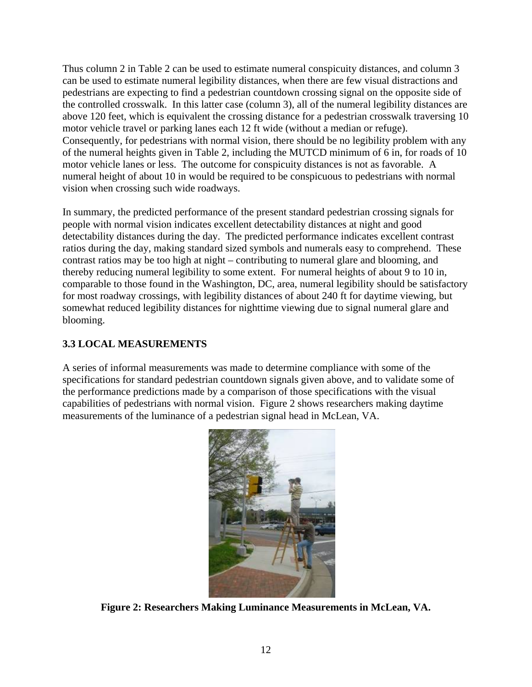<span id="page-18-0"></span>Thus column 2 in Table 2 can be used to estimate numeral conspicuity distances, and column 3 can be used to estimate numeral legibility distances, when there are few visual distractions and pedestrians are expecting to find a pedestrian countdown crossing signal on the opposite side of the controlled crosswalk. In this latter case (column 3), all of the numeral legibility distances are above 120 feet, which is equivalent the crossing distance for a pedestrian crosswalk traversing 10 motor vehicle travel or parking lanes each 12 ft wide (without a median or refuge). Consequently, for pedestrians with normal vision, there should be no legibility problem with any of the numeral heights given in Table 2, including the MUTCD minimum of 6 in, for roads of 10 motor vehicle lanes or less. The outcome for conspicuity distances is not as favorable. A numeral height of about 10 in would be required to be conspicuous to pedestrians with normal vision when crossing such wide roadways.

In summary, the predicted performance of the present standard pedestrian crossing signals for people with normal vision indicates excellent detectability distances at night and good detectability distances during the day. The predicted performance indicates excellent contrast ratios during the day, making standard sized symbols and numerals easy to comprehend. These contrast ratios may be too high at night – contributing to numeral glare and blooming, and thereby reducing numeral legibility to some extent. For numeral heights of about 9 to 10 in, comparable to those found in the Washington, DC, area, numeral legibility should be satisfactory for most roadway crossings, with legibility distances of about 240 ft for daytime viewing, but somewhat reduced legibility distances for nighttime viewing due to signal numeral glare and blooming.

# **3.3 LOCAL MEASUREMENTS**

A series of informal measurements was made to determine compliance with some of the specifications for standard pedestrian countdown signals given above, and to validate some of the performance predictions made by a comparison of those specifications with the visual capabilities of pedestrians with normal vision. Figure 2 shows researchers making daytime measurements of the luminance of a pedestrian signal head in McLean, VA.



**Figure 2: Researchers Making Luminance Measurements in McLean, VA.**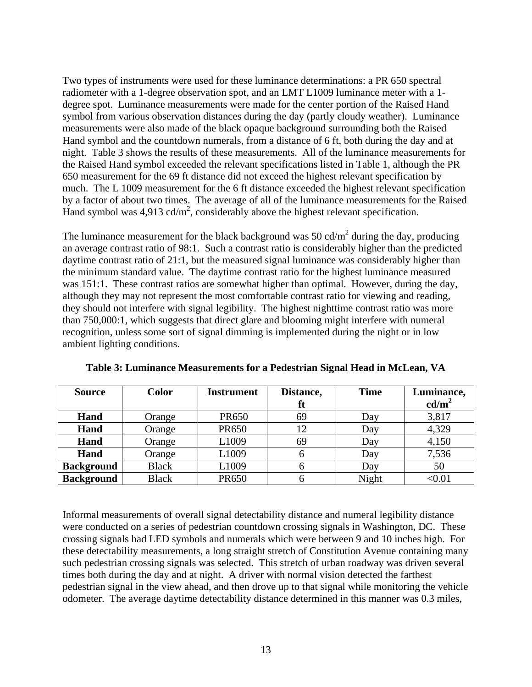<span id="page-19-0"></span>Two types of instruments were used for these luminance determinations: a PR 650 spectral radiometer with a 1-degree observation spot, and an LMT L1009 luminance meter with a 1 degree spot. Luminance measurements were made for the center portion of the Raised Hand symbol from various observation distances during the day (partly cloudy weather). Luminance measurements were also made of the black opaque background surrounding both the Raised Hand symbol and the countdown numerals, from a distance of 6 ft, both during the day and at night. Table 3 shows the results of these measurements. All of the luminance measurements for the Raised Hand symbol exceeded the relevant specifications listed in Table 1, although the PR 650 measurement for the 69 ft distance did not exceed the highest relevant specification by much. The L 1009 measurement for the 6 ft distance exceeded the highest relevant specification by a factor of about two times. The average of all of the luminance measurements for the Raised Hand symbol was  $4.913 \text{ cd/m}^2$ , considerably above the highest relevant specification.

The luminance measurement for the black background was 50 cd/m<sup>2</sup> during the day, producing an average contrast ratio of 98:1. Such a contrast ratio is considerably higher than the predicted daytime contrast ratio of 21:1, but the measured signal luminance was considerably higher than the minimum standard value. The daytime contrast ratio for the highest luminance measured was 151:1. These contrast ratios are somewhat higher than optimal. However, during the day, although they may not represent the most comfortable contrast ratio for viewing and reading, they should not interfere with signal legibility. The highest nighttime contrast ratio was more than 750,000:1, which suggests that direct glare and blooming might interfere with numeral recognition, unless some sort of signal dimming is implemented during the night or in low ambient lighting conditions.

| <b>Source</b>     | <b>Color</b> | <b>Instrument</b> | <b>Time</b><br>Distance, |       | Luminance,      |
|-------------------|--------------|-------------------|--------------------------|-------|-----------------|
|                   |              |                   | ft                       |       | $\text{cd/m}^2$ |
| Hand              | Orange       | PR650             | 69                       | Day   | 3,817           |
| Hand              | Orange       | PR650             | 12                       | Day   | 4,329           |
| Hand              | Orange       | L1009             | 69                       | Day   | 4,150           |
| Hand              | Orange       | L1009             |                          | Day   | 7,536           |
| <b>Background</b> | <b>Black</b> | L1009             |                          | Day   | 50              |
| <b>Background</b> | <b>Black</b> | <b>PR650</b>      |                          | Night | $<$ 0.01 $\,$   |

**Table 3: Luminance Measurements for a Pedestrian Signal Head in McLean, VA** 

Informal measurements of overall signal detectability distance and numeral legibility distance were conducted on a series of pedestrian countdown crossing signals in Washington, DC. These crossing signals had LED symbols and numerals which were between 9 and 10 inches high. For these detectability measurements, a long straight stretch of Constitution Avenue containing many such pedestrian crossing signals was selected. This stretch of urban roadway was driven several times both during the day and at night. A driver with normal vision detected the farthest pedestrian signal in the view ahead, and then drove up to that signal while monitoring the vehicle odometer. The average daytime detectability distance determined in this manner was 0.3 miles,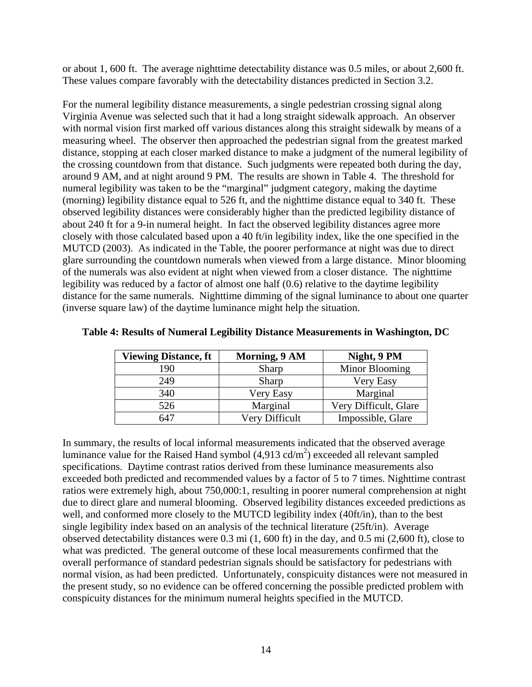<span id="page-20-0"></span>or about 1, 600 ft. The average nighttime detectability distance was 0.5 miles, or about 2,600 ft. These values compare favorably with the detectability distances predicted in Section 3.2.

For the numeral legibility distance measurements, a single pedestrian crossing signal along Virginia Avenue was selected such that it had a long straight sidewalk approach. An observer with normal vision first marked off various distances along this straight sidewalk by means of a measuring wheel. The observer then approached the pedestrian signal from the greatest marked distance, stopping at each closer marked distance to make a judgment of the numeral legibility of the crossing countdown from that distance. Such judgments were repeated both during the day, around 9 AM, and at night around 9 PM. The results are shown in Table 4. The threshold for numeral legibility was taken to be the "marginal" judgment category, making the daytime (morning) legibility distance equal to 526 ft, and the nighttime distance equal to 340 ft. These observed legibility distances were considerably higher than the predicted legibility distance of about 240 ft for a 9-in numeral height. In fact the observed legibility distances agree more closely with those calculated based upon a 40 ft/in legibility index, like the one specified in the MUTCD (2003). As indicated in the Table, the poorer performance at night was due to direct glare surrounding the countdown numerals when viewed from a large distance. Minor blooming of the numerals was also evident at night when viewed from a closer distance. The nighttime legibility was reduced by a factor of almost one half (0.6) relative to the daytime legibility distance for the same numerals. Nighttime dimming of the signal luminance to about one quarter (inverse square law) of the daytime luminance might help the situation.

| <b>Viewing Distance, ft</b> | Morning, 9 AM  | Night, 9 PM           |
|-----------------------------|----------------|-----------------------|
| 190                         | Sharp          | Minor Blooming        |
| 249                         | Sharp          | Very Easy             |
| 340                         | Very Easy      | Marginal              |
| 526                         | Marginal       | Very Difficult, Glare |
| 647                         | Very Difficult | Impossible, Glare     |

|  |  | Table 4: Results of Numeral Legibility Distance Measurements in Washington, DC |  |
|--|--|--------------------------------------------------------------------------------|--|
|  |  |                                                                                |  |

In summary, the results of local informal measurements indicated that the observed average luminance value for the Raised Hand symbol  $(4,913 \text{ cd/m}^2)$  exceeded all relevant sampled specifications. Daytime contrast ratios derived from these luminance measurements also exceeded both predicted and recommended values by a factor of 5 to 7 times. Nighttime contrast ratios were extremely high, about 750,000:1, resulting in poorer numeral comprehension at night due to direct glare and numeral blooming. Observed legibility distances exceeded predictions as well, and conformed more closely to the MUTCD legibility index (40ft/in), than to the best single legibility index based on an analysis of the technical literature (25ft/in). Average observed detectability distances were 0.3 mi (1, 600 ft) in the day, and 0.5 mi (2,600 ft), close to what was predicted. The general outcome of these local measurements confirmed that the overall performance of standard pedestrian signals should be satisfactory for pedestrians with normal vision, as had been predicted. Unfortunately, conspicuity distances were not measured in the present study, so no evidence can be offered concerning the possible predicted problem with conspicuity distances for the minimum numeral heights specified in the MUTCD.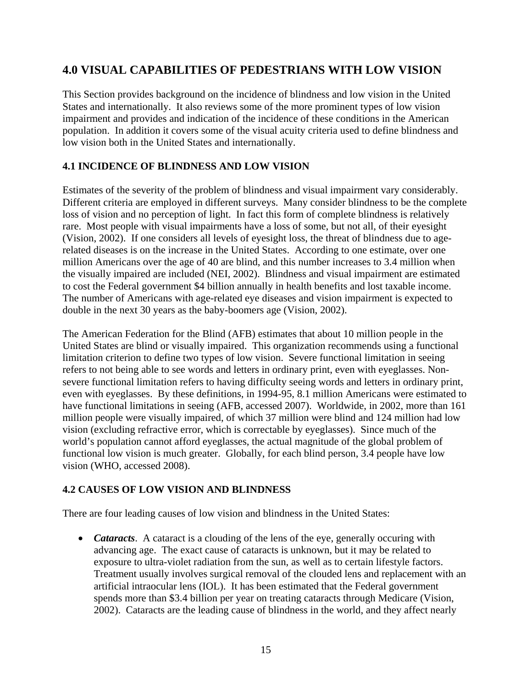# <span id="page-21-0"></span>**4.0 VISUAL CAPABILITIES OF PEDESTRIANS WITH LOW VISION**

This Section provides background on the incidence of blindness and low vision in the United States and internationally. It also reviews some of the more prominent types of low vision impairment and provides and indication of the incidence of these conditions in the American population. In addition it covers some of the visual acuity criteria used to define blindness and low vision both in the United States and internationally.

# **4.1 INCIDENCE OF BLINDNESS AND LOW VISION**

Estimates of the severity of the problem of blindness and visual impairment vary considerably. Different criteria are employed in different surveys. Many consider blindness to be the complete loss of vision and no perception of light. In fact this form of complete blindness is relatively rare. Most people with visual impairments have a loss of some, but not all, of their eyesight (Vision, 2002). If one considers all levels of eyesight loss, the threat of blindness due to agerelated diseases is on the increase in the United States. According to one estimate, over one million Americans over the age of 40 are blind, and this number increases to 3.4 million when the visually impaired are included (NEI, 2002). Blindness and visual impairment are estimated to cost the Federal government \$4 billion annually in health benefits and lost taxable income. The number of Americans with age-related eye diseases and vision impairment is expected to double in the next 30 years as the baby-boomers age (Vision, 2002).

The American Federation for the Blind (AFB) estimates that about 10 million people in the United States are blind or visually impaired. This organization recommends using a functional limitation criterion to define two types of low vision. Severe functional limitation in seeing refers to not being able to see words and letters in ordinary print, even with eyeglasses. Nonsevere functional limitation refers to having difficulty seeing words and letters in ordinary print, even with eyeglasses. By these definitions, in 1994-95, 8.1 million Americans were estimated to have functional limitations in seeing (AFB, accessed 2007). Worldwide, in 2002, more than 161 million people were visually impaired, of which 37 million were blind and 124 million had low vision (excluding refractive error, which is correctable by eyeglasses). Since much of the world's population cannot afford eyeglasses, the actual magnitude of the global problem of functional low vision is much greater. Globally, for each blind person, 3.4 people have low vision (WHO, accessed 2008).

# **4.2 CAUSES OF LOW VISION AND BLINDNESS**

There are four leading causes of low vision and blindness in the United States:

• *Cataracts*. A cataract is a clouding of the lens of the eye, generally occuring with advancing age. The exact cause of cataracts is unknown, but it may be related to exposure to ultra-violet radiation from the sun, as well as to certain lifestyle factors. Treatment usually involves surgical removal of the clouded lens and replacement with an artificial intraocular lens (IOL). It has been estimated that the Federal government spends more than \$3.4 billion per year on treating cataracts through Medicare (Vision, 2002). Cataracts are the leading cause of blindness in the world, and they affect nearly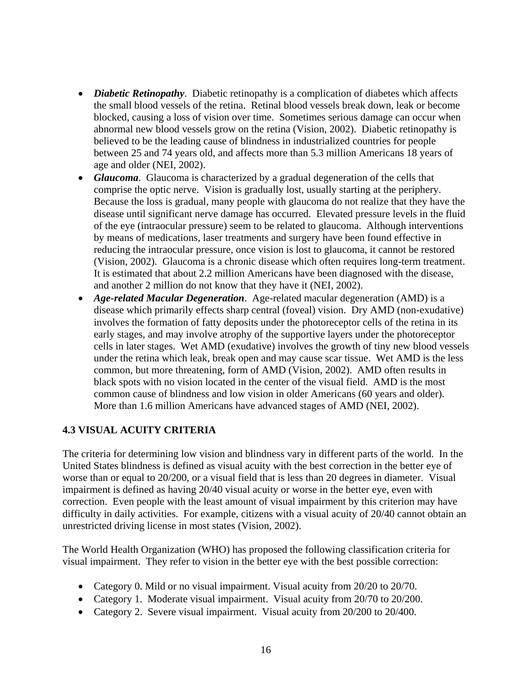- *Diabetic Retinopathy*. Diabetic retinopathy is a complication of diabetes which affects the small blood vessels of the retina. Retinal blood vessels break down, leak or become blocked, causing a loss of vision over time. Sometimes serious damage can occur when abnormal new blood vessels grow on the retina (Vision, 2002). Diabetic retinopathy is believed to be the leading cause of blindness in industrialized countries for people between 25 and 74 years old, and affects more than 5.3 million Americans 18 years of age and older (NEI, 2002).
- *Glaucoma*. Glaucoma is characterized by a gradual degeneration of the cells that comprise the optic nerve. Vision is gradually lost, usually starting at the periphery. Because the loss is gradual, many people with glaucoma do not realize that they have the disease until significant nerve damage has occurred. Elevated pressure levels in the fluid of the eye (intraocular pressure) seem to be related to glaucoma. Although interventions by means of medications, laser treatments and surgery have been found effective in reducing the intraocular pressure, once vision is lost to glaucoma, it cannot be restored (Vision, 2002). Glaucoma is a chronic disease which often requires long-term treatment. It is estimated that about 2.2 million Americans have been diagnosed with the disease, and another 2 million do not know that they have it (NEI, 2002).
- *Age-related Macular Degeneration*. Age-related macular degeneration (AMD) is a disease which primarily effects sharp central (foveal) vision. Dry AMD (non-exudative) involves the formation of fatty deposits under the photoreceptor cells of the retina in its early stages, and may involve atrophy of the supportive layers under the photoreceptor cells in later stages. Wet AMD (exudative) involves the growth of tiny new blood vessels under the retina which leak, break open and may cause scar tissue. Wet AMD is the less common, but more threatening, form of AMD (Vision, 2002). AMD often results in black spots with no vision located in the center of the visual field. AMD is the most common cause of blindness and low vision in older Americans (60 years and older). More than 1.6 million Americans have advanced stages of AMD (NEI, 2002).

# **4.3 VISUAL ACUITY CRITERIA**

The criteria for determining low vision and blindness vary in different parts of the world. In the United States blindness is defined as visual acuity with the best correction in the better eye of worse than or equal to 20/200, or a visual field that is less than 20 degrees in diameter. Visual impairment is defined as having 20/40 visual acuity or worse in the better eye, even with correction. Even people with the least amount of visual impairment by this criterion may have difficulty in daily activities. For example, citizens with a visual acuity of 20/40 cannot obtain an unrestricted driving license in most states (Vision, 2002).

The World Health Organization (WHO) has proposed the following classification criteria for visual impairment. They refer to vision in the better eye with the best possible correction:

- Category 0. Mild or no visual impairment. Visual acuity from 20/20 to 20/70.
- Category 1. Moderate visual impairment. Visual acuity from 20/70 to 20/200.
- Category 2. Severe visual impairment. Visual acuity from 20/200 to 20/400.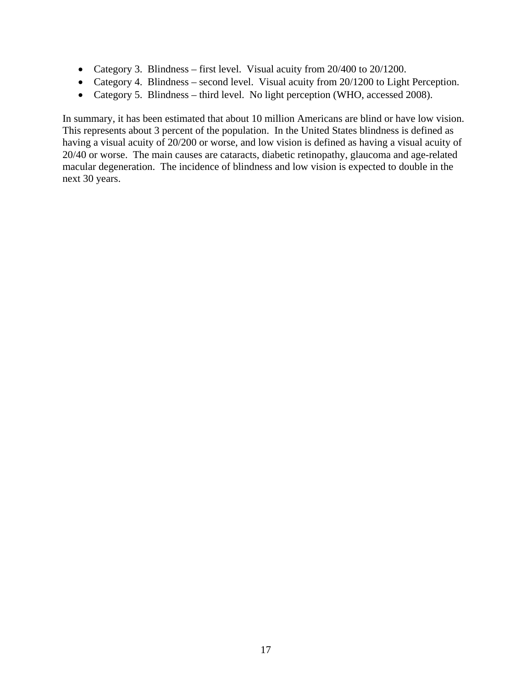- Category 3. Blindness first level. Visual acuity from 20/400 to 20/1200.
- Category 4. Blindness second level. Visual acuity from 20/1200 to Light Perception.
- Category 5. Blindness third level. No light perception (WHO, accessed 2008).

In summary, it has been estimated that about 10 million Americans are blind or have low vision. This represents about 3 percent of the population. In the United States blindness is defined as having a visual acuity of 20/200 or worse, and low vision is defined as having a visual acuity of 20/40 or worse. The main causes are cataracts, diabetic retinopathy, glaucoma and age-related macular degeneration. The incidence of blindness and low vision is expected to double in the next 30 years.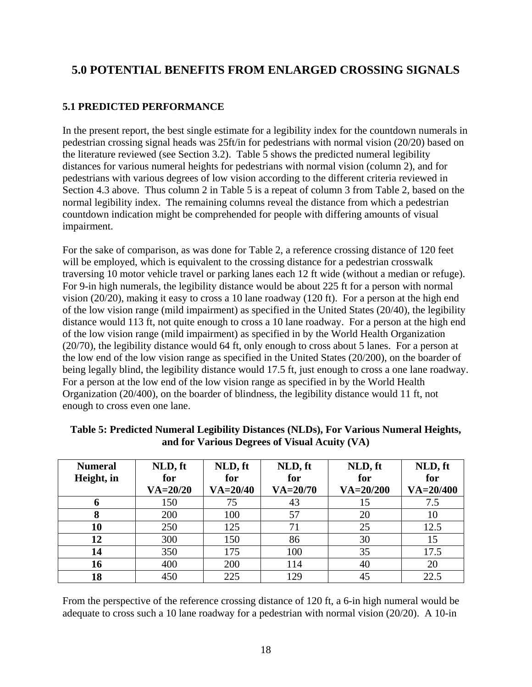# <span id="page-24-0"></span>**5.0 POTENTIAL BENEFITS FROM ENLARGED CROSSING SIGNALS**

# **5.1 PREDICTED PERFORMANCE**

In the present report, the best single estimate for a legibility index for the countdown numerals in pedestrian crossing signal heads was 25ft/in for pedestrians with normal vision (20/20) based on the literature reviewed (see Section 3.2). Table 5 shows the predicted numeral legibility distances for various numeral heights for pedestrians with normal vision (column 2), and for pedestrians with various degrees of low vision according to the different criteria reviewed in Section 4.3 above. Thus column 2 in Table 5 is a repeat of column 3 from Table 2, based on the normal legibility index. The remaining columns reveal the distance from which a pedestrian countdown indication might be comprehended for people with differing amounts of visual impairment.

For the sake of comparison, as was done for Table 2, a reference crossing distance of 120 feet will be employed, which is equivalent to the crossing distance for a pedestrian crosswalk traversing 10 motor vehicle travel or parking lanes each 12 ft wide (without a median or refuge). For 9-in high numerals, the legibility distance would be about 225 ft for a person with normal vision (20/20), making it easy to cross a 10 lane roadway (120 ft). For a person at the high end of the low vision range (mild impairment) as specified in the United States (20/40), the legibility distance would 113 ft, not quite enough to cross a 10 lane roadway. For a person at the high end of the low vision range (mild impairment) as specified in by the World Health Organization (20/70), the legibility distance would 64 ft, only enough to cross about 5 lanes. For a person at the low end of the low vision range as specified in the United States (20/200), on the boarder of being legally blind, the legibility distance would 17.5 ft, just enough to cross a one lane roadway. For a person at the low end of the low vision range as specified in by the World Health Organization (20/400), on the boarder of blindness, the legibility distance would 11 ft, not enough to cross even one lane.

| <b>Numeral</b> | NLD, ft      | NLD, ft      | NLD, ft      | NLD, ft       | NLD, ft       |
|----------------|--------------|--------------|--------------|---------------|---------------|
| Height, in     | for          | for          | for          | for           | for           |
|                | $VA = 20/20$ | $VA = 20/40$ | $VA = 20/70$ | $VA = 20/200$ | $VA = 20/400$ |
| o              | 150          | 75           | 43           | 15            | 7.5           |
| 8              | 200          | 100          | 57           | 20            | 10            |
| 10             | 250          | 125          | 71           | 25            | 12.5          |
| 12             | 300          | 150          | 86           | 30            | 15            |
| 14             | 350          | 175          | 100          | 35            | 17.5          |
| 16             | 400          | 200          | 114          | 40            | 20            |
| 18             | 450          | 225          | 129          | 45            | 22.5          |

#### **Table 5: Predicted Numeral Legibility Distances (NLDs), For Various Numeral Heights, and for Various Degrees of Visual Acuity (VA)**

From the perspective of the reference crossing distance of 120 ft, a 6-in high numeral would be adequate to cross such a 10 lane roadway for a pedestrian with normal vision (20/20). A 10-in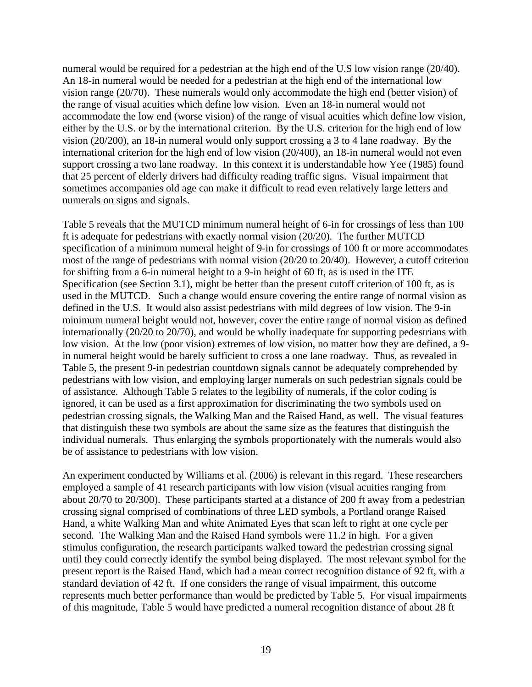numeral would be required for a pedestrian at the high end of the U.S low vision range (20/40). An 18-in numeral would be needed for a pedestrian at the high end of the international low vision range (20/70). These numerals would only accommodate the high end (better vision) of the range of visual acuities which define low vision. Even an 18-in numeral would not accommodate the low end (worse vision) of the range of visual acuities which define low vision, either by the U.S. or by the international criterion. By the U.S. criterion for the high end of low vision (20/200), an 18-in numeral would only support crossing a 3 to 4 lane roadway. By the international criterion for the high end of low vision (20/400), an 18-in numeral would not even support crossing a two lane roadway. In this context it is understandable how Yee (1985) found that 25 percent of elderly drivers had difficulty reading traffic signs. Visual impairment that sometimes accompanies old age can make it difficult to read even relatively large letters and numerals on signs and signals.

Table 5 reveals that the MUTCD minimum numeral height of 6-in for crossings of less than 100 ft is adequate for pedestrians with exactly normal vision (20/20). The further MUTCD specification of a minimum numeral height of 9-in for crossings of 100 ft or more accommodates most of the range of pedestrians with normal vision (20/20 to 20/40). However, a cutoff criterion for shifting from a 6-in numeral height to a 9-in height of 60 ft, as is used in the ITE Specification (see Section 3.1), might be better than the present cutoff criterion of 100 ft, as is used in the MUTCD. Such a change would ensure covering the entire range of normal vision as defined in the U.S. It would also assist pedestrians with mild degrees of low vision. The 9-in minimum numeral height would not, however, cover the entire range of normal vision as defined internationally (20/20 to 20/70), and would be wholly inadequate for supporting pedestrians with low vision. At the low (poor vision) extremes of low vision, no matter how they are defined, a 9 in numeral height would be barely sufficient to cross a one lane roadway. Thus, as revealed in Table 5, the present 9-in pedestrian countdown signals cannot be adequately comprehended by pedestrians with low vision, and employing larger numerals on such pedestrian signals could be of assistance. Although Table 5 relates to the legibility of numerals, if the color coding is ignored, it can be used as a first approximation for discriminating the two symbols used on pedestrian crossing signals, the Walking Man and the Raised Hand, as well. The visual features that distinguish these two symbols are about the same size as the features that distinguish the individual numerals. Thus enlarging the symbols proportionately with the numerals would also be of assistance to pedestrians with low vision.

An experiment conducted by Williams et al. (2006) is relevant in this regard. These researchers employed a sample of 41 research participants with low vision (visual acuities ranging from about 20/70 to 20/300). These participants started at a distance of 200 ft away from a pedestrian crossing signal comprised of combinations of three LED symbols, a Portland orange Raised Hand, a white Walking Man and white Animated Eyes that scan left to right at one cycle per second. The Walking Man and the Raised Hand symbols were 11.2 in high. For a given stimulus configuration, the research participants walked toward the pedestrian crossing signal until they could correctly identify the symbol being displayed. The most relevant symbol for the present report is the Raised Hand, which had a mean correct recognition distance of 92 ft, with a standard deviation of 42 ft. If one considers the range of visual impairment, this outcome represents much better performance than would be predicted by Table 5. For visual impairments of this magnitude, Table 5 would have predicted a numeral recognition distance of about 28 ft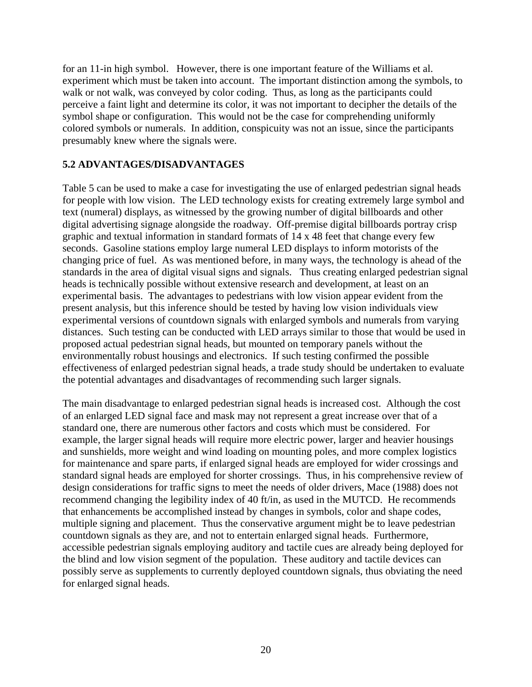<span id="page-26-0"></span>for an 11-in high symbol. However, there is one important feature of the Williams et al. experiment which must be taken into account. The important distinction among the symbols, to walk or not walk, was conveyed by color coding. Thus, as long as the participants could perceive a faint light and determine its color, it was not important to decipher the details of the symbol shape or configuration. This would not be the case for comprehending uniformly colored symbols or numerals. In addition, conspicuity was not an issue, since the participants presumably knew where the signals were.

#### **5.2 ADVANTAGES/DISADVANTAGES**

Table 5 can be used to make a case for investigating the use of enlarged pedestrian signal heads for people with low vision. The LED technology exists for creating extremely large symbol and text (numeral) displays, as witnessed by the growing number of digital billboards and other digital advertising signage alongside the roadway. Off-premise digital billboards portray crisp graphic and textual information in standard formats of 14 x 48 feet that change every few seconds. Gasoline stations employ large numeral LED displays to inform motorists of the changing price of fuel. As was mentioned before, in many ways, the technology is ahead of the standards in the area of digital visual signs and signals. Thus creating enlarged pedestrian signal heads is technically possible without extensive research and development, at least on an experimental basis. The advantages to pedestrians with low vision appear evident from the present analysis, but this inference should be tested by having low vision individuals view experimental versions of countdown signals with enlarged symbols and numerals from varying distances. Such testing can be conducted with LED arrays similar to those that would be used in proposed actual pedestrian signal heads, but mounted on temporary panels without the environmentally robust housings and electronics. If such testing confirmed the possible effectiveness of enlarged pedestrian signal heads, a trade study should be undertaken to evaluate the potential advantages and disadvantages of recommending such larger signals.

The main disadvantage to enlarged pedestrian signal heads is increased cost. Although the cost of an enlarged LED signal face and mask may not represent a great increase over that of a standard one, there are numerous other factors and costs which must be considered. For example, the larger signal heads will require more electric power, larger and heavier housings and sunshields, more weight and wind loading on mounting poles, and more complex logistics for maintenance and spare parts, if enlarged signal heads are employed for wider crossings and standard signal heads are employed for shorter crossings. Thus, in his comprehensive review of design considerations for traffic signs to meet the needs of older drivers, Mace (1988) does not recommend changing the legibility index of 40 ft/in, as used in the MUTCD. He recommends that enhancements be accomplished instead by changes in symbols, color and shape codes, multiple signing and placement. Thus the conservative argument might be to leave pedestrian countdown signals as they are, and not to entertain enlarged signal heads. Furthermore, accessible pedestrian signals employing auditory and tactile cues are already being deployed for the blind and low vision segment of the population. These auditory and tactile devices can possibly serve as supplements to currently deployed countdown signals, thus obviating the need for enlarged signal heads.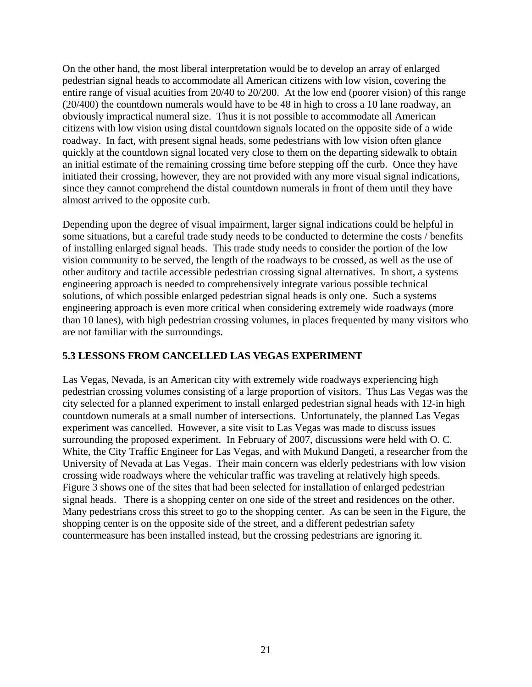<span id="page-27-0"></span>On the other hand, the most liberal interpretation would be to develop an array of enlarged pedestrian signal heads to accommodate all American citizens with low vision, covering the entire range of visual acuities from 20/40 to 20/200. At the low end (poorer vision) of this range (20/400) the countdown numerals would have to be 48 in high to cross a 10 lane roadway, an obviously impractical numeral size. Thus it is not possible to accommodate all American citizens with low vision using distal countdown signals located on the opposite side of a wide roadway. In fact, with present signal heads, some pedestrians with low vision often glance quickly at the countdown signal located very close to them on the departing sidewalk to obtain an initial estimate of the remaining crossing time before stepping off the curb. Once they have initiated their crossing, however, they are not provided with any more visual signal indications, since they cannot comprehend the distal countdown numerals in front of them until they have almost arrived to the opposite curb.

Depending upon the degree of visual impairment, larger signal indications could be helpful in some situations, but a careful trade study needs to be conducted to determine the costs / benefits of installing enlarged signal heads. This trade study needs to consider the portion of the low vision community to be served, the length of the roadways to be crossed, as well as the use of other auditory and tactile accessible pedestrian crossing signal alternatives. In short, a systems engineering approach is needed to comprehensively integrate various possible technical solutions, of which possible enlarged pedestrian signal heads is only one. Such a systems engineering approach is even more critical when considering extremely wide roadways (more than 10 lanes), with high pedestrian crossing volumes, in places frequented by many visitors who are not familiar with the surroundings.

# **5.3 LESSONS FROM CANCELLED LAS VEGAS EXPERIMENT**

Las Vegas, Nevada, is an American city with extremely wide roadways experiencing high pedestrian crossing volumes consisting of a large proportion of visitors. Thus Las Vegas was the city selected for a planned experiment to install enlarged pedestrian signal heads with 12-in high countdown numerals at a small number of intersections. Unfortunately, the planned Las Vegas experiment was cancelled. However, a site visit to Las Vegas was made to discuss issues surrounding the proposed experiment. In February of 2007, discussions were held with O. C. White, the City Traffic Engineer for Las Vegas, and with Mukund Dangeti, a researcher from the University of Nevada at Las Vegas. Their main concern was elderly pedestrians with low vision crossing wide roadways where the vehicular traffic was traveling at relatively high speeds. Figure 3 shows one of the sites that had been selected for installation of enlarged pedestrian signal heads. There is a shopping center on one side of the street and residences on the other. Many pedestrians cross this street to go to the shopping center. As can be seen in the Figure, the shopping center is on the opposite side of the street, and a different pedestrian safety countermeasure has been installed instead, but the crossing pedestrians are ignoring it.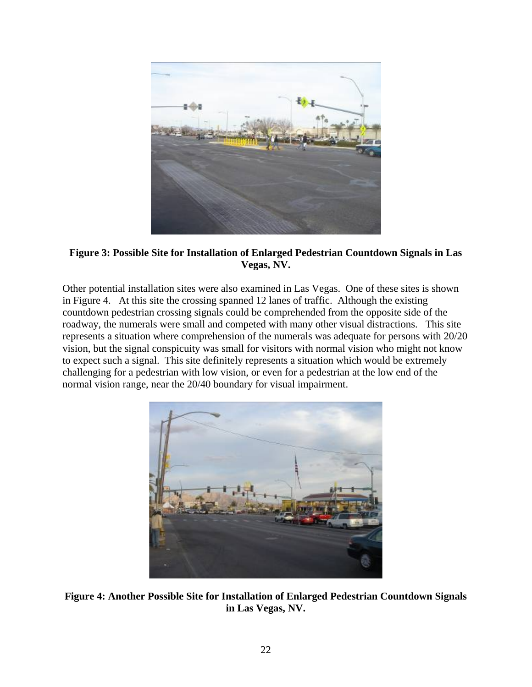<span id="page-28-0"></span>

**Figure 3: Possible Site for Installation of Enlarged Pedestrian Countdown Signals in Las Vegas, NV.** 

Other potential installation sites were also examined in Las Vegas. One of these sites is shown in Figure 4. At this site the crossing spanned 12 lanes of traffic. Although the existing countdown pedestrian crossing signals could be comprehended from the opposite side of the roadway, the numerals were small and competed with many other visual distractions. This site represents a situation where comprehension of the numerals was adequate for persons with 20/20 vision, but the signal conspicuity was small for visitors with normal vision who might not know to expect such a signal. This site definitely represents a situation which would be extremely challenging for a pedestrian with low vision, or even for a pedestrian at the low end of the normal vision range, near the 20/40 boundary for visual impairment.



**Figure 4: Another Possible Site for Installation of Enlarged Pedestrian Countdown Signals in Las Vegas, NV.**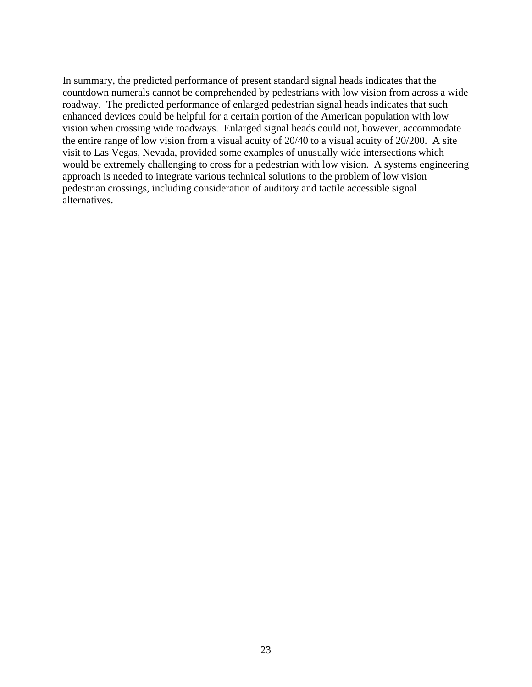In summary, the predicted performance of present standard signal heads indicates that the countdown numerals cannot be comprehended by pedestrians with low vision from across a wide roadway. The predicted performance of enlarged pedestrian signal heads indicates that such enhanced devices could be helpful for a certain portion of the American population with low vision when crossing wide roadways. Enlarged signal heads could not, however, accommodate the entire range of low vision from a visual acuity of 20/40 to a visual acuity of 20/200. A site visit to Las Vegas, Nevada, provided some examples of unusually wide intersections which would be extremely challenging to cross for a pedestrian with low vision. A systems engineering approach is needed to integrate various technical solutions to the problem of low vision pedestrian crossings, including consideration of auditory and tactile accessible signal alternatives.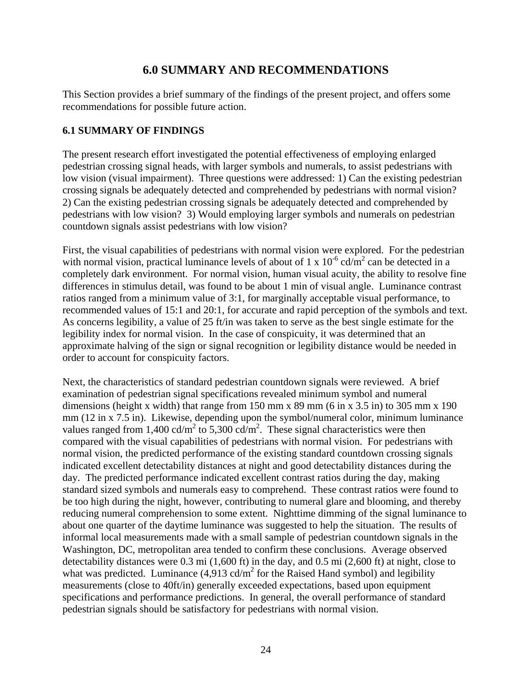# **6.0 SUMMARY AND RECOMMENDATIONS**

<span id="page-30-0"></span>This Section provides a brief summary of the findings of the present project, and offers some recommendations for possible future action.

#### **6.1 SUMMARY OF FINDINGS**

The present research effort investigated the potential effectiveness of employing enlarged pedestrian crossing signal heads, with larger symbols and numerals, to assist pedestrians with low vision (visual impairment). Three questions were addressed: 1) Can the existing pedestrian crossing signals be adequately detected and comprehended by pedestrians with normal vision? 2) Can the existing pedestrian crossing signals be adequately detected and comprehended by pedestrians with low vision? 3) Would employing larger symbols and numerals on pedestrian countdown signals assist pedestrians with low vision?

First, the visual capabilities of pedestrians with normal vision were explored. For the pedestrian with normal vision, practical luminance levels of about of 1 x  $10^{-6}$  cd/m<sup>2</sup> can be detected in a completely dark environment. For normal vision, human visual acuity, the ability to resolve fine differences in stimulus detail, was found to be about 1 min of visual angle. Luminance contrast ratios ranged from a minimum value of 3:1, for marginally acceptable visual performance, to recommended values of 15:1 and 20:1, for accurate and rapid perception of the symbols and text. As concerns legibility, a value of 25 ft/in was taken to serve as the best single estimate for the legibility index for normal vision. In the case of conspicuity, it was determined that an approximate halving of the sign or signal recognition or legibility distance would be needed in order to account for conspicuity factors.

Next, the characteristics of standard pedestrian countdown signals were reviewed. A brief examination of pedestrian signal specifications revealed minimum symbol and numeral dimensions (height x width) that range from  $150 \text{ mm}$  x  $89 \text{ mm}$  (6 in x 3.5 in) to 305 mm x 190 mm (12 in x 7.5 in). Likewise, depending upon the symbol/numeral color, minimum luminance values ranged from 1,400 cd/m<sup>2</sup> to 5,300 cd/m<sup>2</sup>. These signal characteristics were then compared with the visual capabilities of pedestrians with normal vision. For pedestrians with normal vision, the predicted performance of the existing standard countdown crossing signals indicated excellent detectability distances at night and good detectability distances during the day. The predicted performance indicated excellent contrast ratios during the day, making standard sized symbols and numerals easy to comprehend. These contrast ratios were found to be too high during the night, however, contributing to numeral glare and blooming, and thereby reducing numeral comprehension to some extent. Nighttime dimming of the signal luminance to about one quarter of the daytime luminance was suggested to help the situation. The results of informal local measurements made with a small sample of pedestrian countdown signals in the Washington, DC, metropolitan area tended to confirm these conclusions. Average observed detectability distances were 0.3 mi (1,600 ft) in the day, and 0.5 mi (2,600 ft) at night, close to what was predicted. Luminance  $(4,913 \text{ cd/m}^2 \text{ for the Rasied Hand symbol})$  and legibility measurements (close to 40ft/in) generally exceeded expectations, based upon equipment specifications and performance predictions. In general, the overall performance of standard pedestrian signals should be satisfactory for pedestrians with normal vision.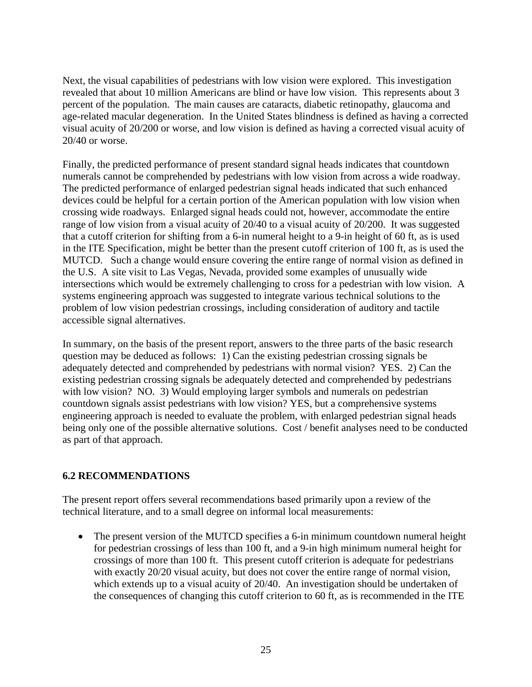<span id="page-31-0"></span>Next, the visual capabilities of pedestrians with low vision were explored. This investigation revealed that about 10 million Americans are blind or have low vision. This represents about 3 percent of the population. The main causes are cataracts, diabetic retinopathy, glaucoma and age-related macular degeneration. In the United States blindness is defined as having a corrected visual acuity of 20/200 or worse, and low vision is defined as having a corrected visual acuity of 20/40 or worse.

Finally, the predicted performance of present standard signal heads indicates that countdown numerals cannot be comprehended by pedestrians with low vision from across a wide roadway. The predicted performance of enlarged pedestrian signal heads indicated that such enhanced devices could be helpful for a certain portion of the American population with low vision when crossing wide roadways. Enlarged signal heads could not, however, accommodate the entire range of low vision from a visual acuity of 20/40 to a visual acuity of 20/200. It was suggested that a cutoff criterion for shifting from a 6-in numeral height to a 9-in height of 60 ft, as is used in the ITE Specification, might be better than the present cutoff criterion of 100 ft, as is used the MUTCD. Such a change would ensure covering the entire range of normal vision as defined in the U.S. A site visit to Las Vegas, Nevada, provided some examples of unusually wide intersections which would be extremely challenging to cross for a pedestrian with low vision. A systems engineering approach was suggested to integrate various technical solutions to the problem of low vision pedestrian crossings, including consideration of auditory and tactile accessible signal alternatives.

In summary, on the basis of the present report, answers to the three parts of the basic research question may be deduced as follows: 1) Can the existing pedestrian crossing signals be adequately detected and comprehended by pedestrians with normal vision? YES. 2) Can the existing pedestrian crossing signals be adequately detected and comprehended by pedestrians with low vision? NO. 3) Would employing larger symbols and numerals on pedestrian countdown signals assist pedestrians with low vision? YES, but a comprehensive systems engineering approach is needed to evaluate the problem, with enlarged pedestrian signal heads being only one of the possible alternative solutions. Cost / benefit analyses need to be conducted as part of that approach.

# **6.2 RECOMMENDATIONS**

The present report offers several recommendations based primarily upon a review of the technical literature, and to a small degree on informal local measurements:

• The present version of the MUTCD specifies a 6-in minimum countdown numeral height for pedestrian crossings of less than 100 ft, and a 9-in high minimum numeral height for crossings of more than 100 ft. This present cutoff criterion is adequate for pedestrians with exactly 20/20 visual acuity, but does not cover the entire range of normal vision, which extends up to a visual acuity of 20/40. An investigation should be undertaken of the consequences of changing this cutoff criterion to 60 ft, as is recommended in the ITE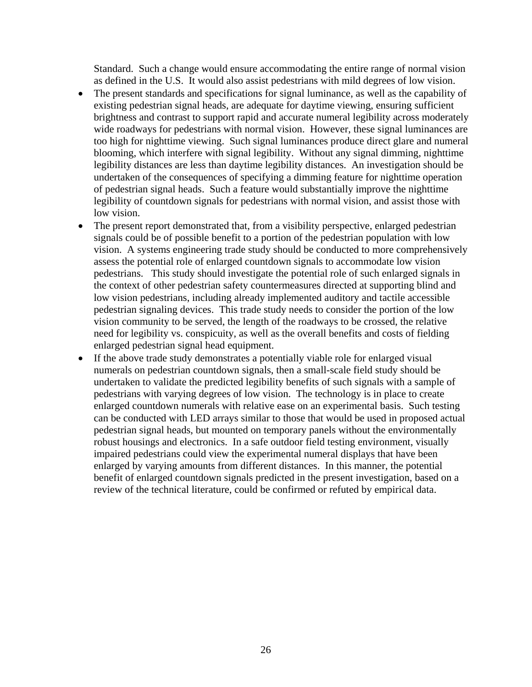Standard. Such a change would ensure accommodating the entire range of normal vision as defined in the U.S. It would also assist pedestrians with mild degrees of low vision.

- The present standards and specifications for signal luminance, as well as the capability of existing pedestrian signal heads, are adequate for daytime viewing, ensuring sufficient brightness and contrast to support rapid and accurate numeral legibility across moderately wide roadways for pedestrians with normal vision. However, these signal luminances are too high for nighttime viewing. Such signal luminances produce direct glare and numeral blooming, which interfere with signal legibility. Without any signal dimming, nighttime legibility distances are less than daytime legibility distances. An investigation should be undertaken of the consequences of specifying a dimming feature for nighttime operation of pedestrian signal heads. Such a feature would substantially improve the nighttime legibility of countdown signals for pedestrians with normal vision, and assist those with low vision.
- The present report demonstrated that, from a visibility perspective, enlarged pedestrian signals could be of possible benefit to a portion of the pedestrian population with low vision. A systems engineering trade study should be conducted to more comprehensively assess the potential role of enlarged countdown signals to accommodate low vision pedestrians. This study should investigate the potential role of such enlarged signals in the context of other pedestrian safety countermeasures directed at supporting blind and low vision pedestrians, including already implemented auditory and tactile accessible pedestrian signaling devices. This trade study needs to consider the portion of the low vision community to be served, the length of the roadways to be crossed, the relative need for legibility vs. conspicuity, as well as the overall benefits and costs of fielding enlarged pedestrian signal head equipment.
- If the above trade study demonstrates a potentially viable role for enlarged visual numerals on pedestrian countdown signals, then a small-scale field study should be undertaken to validate the predicted legibility benefits of such signals with a sample of pedestrians with varying degrees of low vision. The technology is in place to create enlarged countdown numerals with relative ease on an experimental basis. Such testing can be conducted with LED arrays similar to those that would be used in proposed actual pedestrian signal heads, but mounted on temporary panels without the environmentally robust housings and electronics. In a safe outdoor field testing environment, visually impaired pedestrians could view the experimental numeral displays that have been enlarged by varying amounts from different distances. In this manner, the potential benefit of enlarged countdown signals predicted in the present investigation, based on a review of the technical literature, could be confirmed or refuted by empirical data.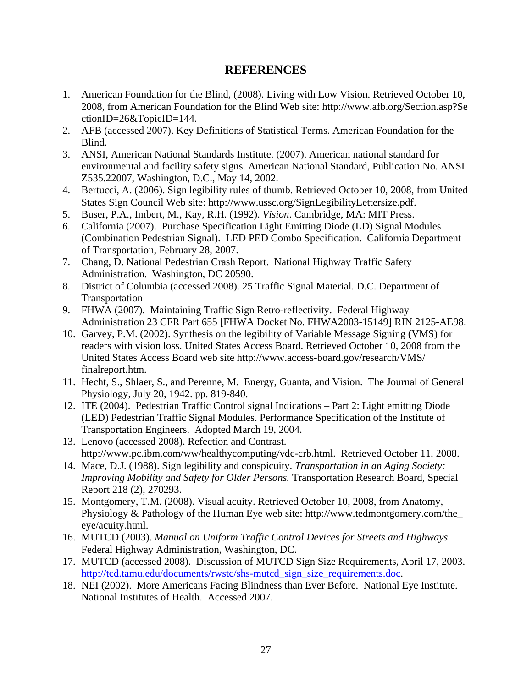# **REFERENCES**

- <span id="page-33-0"></span>1. American Foundation for the Blind, (2008). Living with Low Vision. Retrieved October 10, 2008, from American Foundation for the Blind Web site: http://www.afb.org/Section.asp?Se ctionID=26&TopicID=144.
- 2. AFB (accessed 2007). Key Definitions of Statistical Terms. American Foundation for the Blind.
- 3. ANSI, American National Standards Institute. (2007). American national standard for environmental and facility safety signs. American National Standard, Publication No. ANSI Z535.22007, Washington, D.C., May 14, 2002.
- 4. Bertucci, A. (2006). Sign legibility rules of thumb. Retrieved October 10, 2008, from United States Sign Council Web site: http://www.ussc.org/SignLegibilityLettersize.pdf.
- 5. Buser, P.A., Imbert, M., Kay, R.H. (1992). *Vision*. Cambridge, MA: MIT Press.
- 6. California (2007). Purchase Specification Light Emitting Diode (LD) Signal Modules (Combination Pedestrian Signal). LED PED Combo Specification. California Department of Transportation, February 28, 2007.
- 7. Chang, D. National Pedestrian Crash Report. National Highway Traffic Safety Administration. Washington, DC 20590.
- 8. District of Columbia (accessed 2008). 25 Traffic Signal Material. D.C. Department of Transportation
- 9. FHWA (2007). Maintaining Traffic Sign Retro-reflectivity. Federal Highway Administration 23 CFR Part 655 [FHWA Docket No. FHWA2003-15149] RIN 2125-AE98.
- 10. Garvey, P.M. (2002). Synthesis on the legibility of Variable Message Signing (VMS) for readers with vision loss. United States Access Board. Retrieved October 10, 2008 from the United States Access Board web site http://www.access-board.gov/research/VMS/ finalreport.htm.
- 11. Hecht, S., Shlaer, S., and Perenne, M. Energy, Guanta, and Vision. The Journal of General Physiology, July 20, 1942. pp. 819-840.
- 12. ITE (2004). Pedestrian Traffic Control signal Indications Part 2: Light emitting Diode (LED) Pedestrian Traffic Signal Modules. Performance Specification of the Institute of Transportation Engineers. Adopted March 19, 2004.
- 13. Lenovo (accessed 2008). Refection and Contrast. http://www.pc.ibm.com/ww/healthycomputing/vdc-crb.html. Retrieved October 11, 2008.
- 14. Mace, D.J. (1988). Sign legibility and conspicuity. *Transportation in an Aging Society: Improving Mobility and Safety for Older Persons.* Transportation Research Board, Special Report 218 (2), 270293.
- 15. Montgomery, T.M. (2008). Visual acuity. Retrieved October 10, 2008, from Anatomy, Physiology & Pathology of the Human Eye web site: http://www.tedmontgomery.com/the\_ eye/acuity.html.
- 16. MUTCD (2003). *Manual on Uniform Traffic Control Devices for Streets and Highways*. Federal Highway Administration, Washington, DC.
- 17. MUTCD (accessed 2008). Discussion of MUTCD Sign Size Requirements, April 17, 2003. [http://tcd.tamu.edu/documents/rwstc/shs-mutcd\\_sign\\_size\\_requirements.doc](http://tcd.tamu.edu/documents/rwstc/shs-mutcd_sign_size_requirements.doc).
- 18. NEI (2002). More Americans Facing Blindness than Ever Before. National Eye Institute. National Institutes of Health. Accessed 2007.